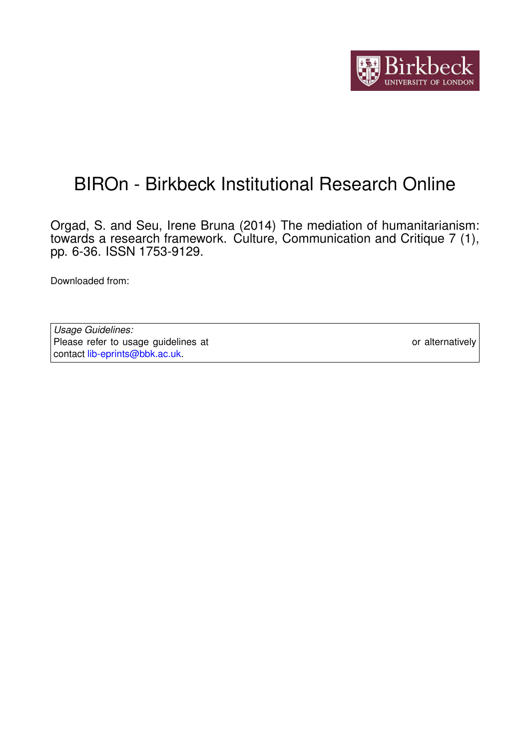

# BIROn - Birkbeck Institutional Research Online

Orgad, S. and Seu, Irene Bruna (2014) The mediation of humanitarianism: towards a research framework. Culture, Communication and Critique 7 (1), pp. 6-36. ISSN 1753-9129.

Downloaded from: <https://eprints.bbk.ac.uk/id/eprint/17603/>

*Usage Guidelines:* Please refer to usage guidelines at <https://eprints.bbk.ac.uk/policies.html> or alternatively contact [lib-eprints@bbk.ac.uk.](mailto:lib-eprints@bbk.ac.uk)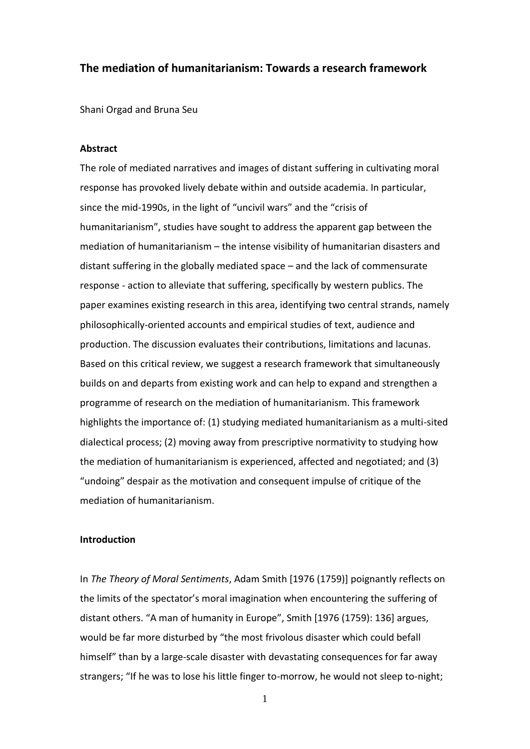# **The mediation of humanitarianism: Towards a research framework**

Shani Orgad and Bruna Seu

# **Abstract**

The role of mediated narratives and images of distant suffering in cultivating moral response has provoked lively debate within and outside academia. In particular, since the mid-1990s, in the light of "uncivil wars" and the "crisis of humanitarianism", studies have sought to address the apparent gap between the mediation of humanitarianism – the intense visibility of humanitarian disasters and distant suffering in the globally mediated space – and the lack of commensurate response - action to alleviate that suffering, specifically by western publics. The paper examines existing research in this area, identifying two central strands, namely philosophically-oriented accounts and empirical studies of text, audience and production. The discussion evaluates their contributions, limitations and lacunas. Based on this critical review, we suggest a research framework that simultaneously builds on and departs from existing work and can help to expand and strengthen a programme of research on the mediation of humanitarianism. This framework highlights the importance of: (1) studying mediated humanitarianism as a multi-sited dialectical process; (2) moving away from prescriptive normativity to studying how the mediation of humanitarianism is experienced, affected and negotiated; and (3) "undoing" despair as the motivation and consequent impulse of critique of the mediation of humanitarianism.

# **Introduction**

In *The Theory of Moral Sentiments*, Adam Smith [1976 (1759)] poignantly reflects on the limits of the spectator's moral imagination when encountering the suffering of distant others. "A man of humanity in Europe", Smith [1976 (1759): 136] argues, would be far more disturbed by "the most frivolous disaster which could befall himself" than by a large-scale disaster with devastating consequences for far away strangers; "If he was to lose his little finger to-morrow, he would not sleep to-night;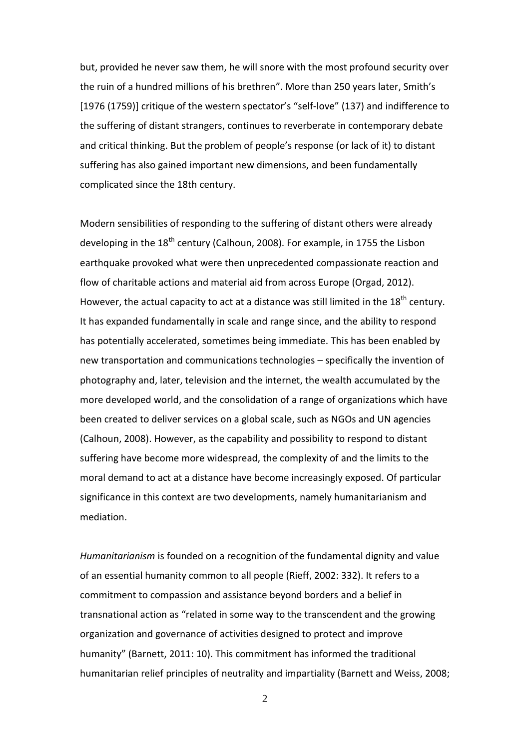but, provided he never saw them, he will snore with the most profound security over the ruin of a hundred millions of his brethren". More than 250 years later, Smith's [1976 (1759)] critique of the western spectator's "self-love" (137) and indifference to the suffering of distant strangers, continues to reverberate in contemporary debate and critical thinking. But the problem of people's response (or lack of it) to distant suffering has also gained important new dimensions, and been fundamentally complicated since the 18th century.

Modern sensibilities of responding to the suffering of distant others were already developing in the  $18<sup>th</sup>$  century (Calhoun, 2008). For example, in 1755 the Lisbon earthquake provoked what were then unprecedented compassionate reaction and flow of charitable actions and material aid from across Europe (Orgad, 2012). However, the actual capacity to act at a distance was still limited in the 18<sup>th</sup> century. It has expanded fundamentally in scale and range since, and the ability to respond has potentially accelerated, sometimes being immediate. This has been enabled by new transportation and communications technologies – specifically the invention of photography and, later, television and the internet, the wealth accumulated by the more developed world, and the consolidation of a range of organizations which have been created to deliver services on a global scale, such as NGOs and UN agencies (Calhoun, 2008). However, as the capability and possibility to respond to distant suffering have become more widespread, the complexity of and the limits to the moral demand to act at a distance have become increasingly exposed. Of particular significance in this context are two developments, namely humanitarianism and mediation.

*Humanitarianism* is founded on a recognition of the fundamental dignity and value of an essential humanity common to all people (Rieff, 2002: 332). It refers to a commitment to compassion and assistance beyond borders and a belief in transnational action as "related in some way to the transcendent and the growing organization and governance of activities designed to protect and improve humanity" (Barnett, 2011: 10). This commitment has informed the traditional humanitarian relief principles of neutrality and impartiality (Barnett and Weiss, 2008;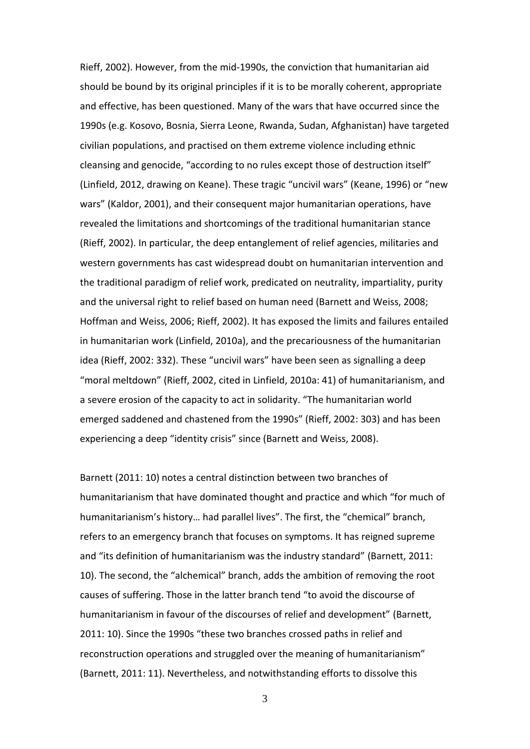Rieff, 2002). However, from the mid-1990s, the conviction that humanitarian aid should be bound by its original principles if it is to be morally coherent, appropriate and effective, has been questioned. Many of the wars that have occurred since the 1990s (e.g. Kosovo, Bosnia, Sierra Leone, Rwanda, Sudan, Afghanistan) have targeted civilian populations, and practised on them extreme violence including ethnic cleansing and genocide, "according to no rules except those of destruction itself" (Linfield, 2012, drawing on Keane). These tragic "uncivil wars" (Keane, 1996) or "new wars" (Kaldor, 2001), and their consequent major humanitarian operations, have revealed the limitations and shortcomings of the traditional humanitarian stance (Rieff, 2002). In particular, the deep entanglement of relief agencies, militaries and western governments has cast widespread doubt on humanitarian intervention and the traditional paradigm of relief work, predicated on neutrality, impartiality, purity and the universal right to relief based on human need (Barnett and Weiss, 2008; Hoffman and Weiss, 2006; Rieff, 2002). It has exposed the limits and failures entailed in humanitarian work (Linfield, 2010a), and the precariousness of the humanitarian idea (Rieff, 2002: 332). These "uncivil wars" have been seen as signalling a deep "moral meltdown" (Rieff, 2002, cited in Linfield, 2010a: 41) of humanitarianism, and a severe erosion of the capacity to act in solidarity. "The humanitarian world emerged saddened and chastened from the 1990s" (Rieff, 2002: 303) and has been experiencing a deep "identity crisis" since (Barnett and Weiss, 2008).

Barnett (2011: 10) notes a central distinction between two branches of humanitarianism that have dominated thought and practice and which "for much of humanitarianism's history… had parallel lives". The first, the "chemical" branch, refers to an emergency branch that focuses on symptoms. It has reigned supreme and "its definition of humanitarianism was the industry standard" (Barnett, 2011: 10). The second, the "alchemical" branch, adds the ambition of removing the root causes of suffering. Those in the latter branch tend "to avoid the discourse of humanitarianism in favour of the discourses of relief and development" (Barnett, 2011: 10). Since the 1990s "these two branches crossed paths in relief and reconstruction operations and struggled over the meaning of humanitarianism" (Barnett, 2011: 11). Nevertheless, and notwithstanding efforts to dissolve this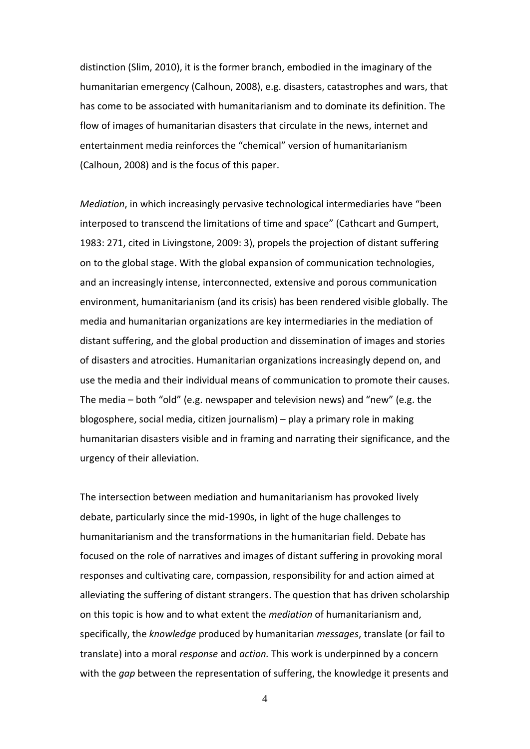distinction (Slim, 2010), it is the former branch, embodied in the imaginary of the humanitarian emergency (Calhoun, 2008), e.g. disasters, catastrophes and wars, that has come to be associated with humanitarianism and to dominate its definition. The flow of images of humanitarian disasters that circulate in the news, internet and entertainment media reinforces the "chemical" version of humanitarianism (Calhoun, 2008) and is the focus of this paper.

*Mediation*, in which increasingly pervasive technological intermediaries have "been interposed to transcend the limitations of time and space" (Cathcart and Gumpert, 1983: 271, cited in Livingstone, 2009: 3), propels the projection of distant suffering on to the global stage. With the global expansion of communication technologies, and an increasingly intense, interconnected, extensive and porous communication environment, humanitarianism (and its crisis) has been rendered visible globally. The media and humanitarian organizations are key intermediaries in the mediation of distant suffering, and the global production and dissemination of images and stories of disasters and atrocities. Humanitarian organizations increasingly depend on, and use the media and their individual means of communication to promote their causes. The media – both "old" (e.g. newspaper and television news) and "new" (e.g. the blogosphere, social media, citizen journalism) – play a primary role in making humanitarian disasters visible and in framing and narrating their significance, and the urgency of their alleviation.

The intersection between mediation and humanitarianism has provoked lively debate, particularly since the mid-1990s, in light of the huge challenges to humanitarianism and the transformations in the humanitarian field. Debate has focused on the role of narratives and images of distant suffering in provoking moral responses and cultivating care, compassion, responsibility for and action aimed at alleviating the suffering of distant strangers. The question that has driven scholarship on this topic is how and to what extent the *mediation* of humanitarianism and, specifically, the *knowledge* produced by humanitarian *messages*, translate (or fail to translate) into a moral *response* and *action.* This work is underpinned by a concern with the *gap* between the representation of suffering, the knowledge it presents and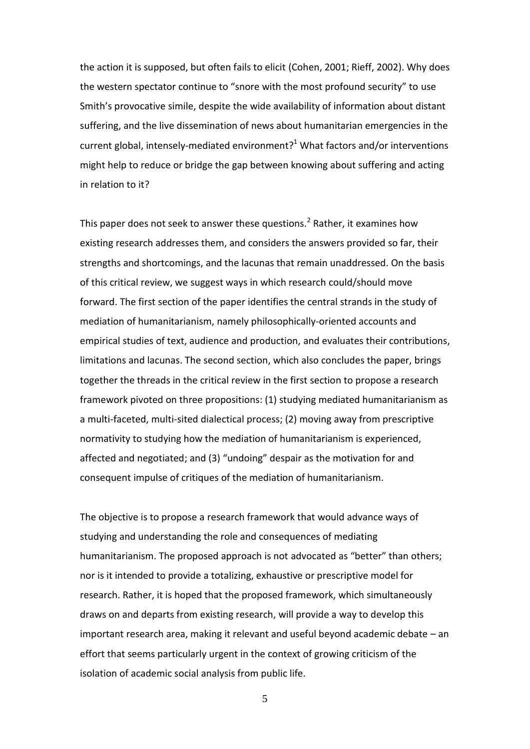the action it is supposed, but often fails to elicit (Cohen, 2001; Rieff, 2002). Why does the western spectator continue to "snore with the most profound security" to use Smith's provocative simile, despite the wide availability of information about distant suffering, and the live dissemination of news about humanitarian emergencies in the current global, intensely-mediated environment?<sup>1</sup> What factors and/or interventions might help to reduce or bridge the gap between knowing about suffering and acting in relation to it?

This paper does not seek to answer these questions.<sup>2</sup> Rather, it examines how existing research addresses them, and considers the answers provided so far, their strengths and shortcomings, and the lacunas that remain unaddressed. On the basis of this critical review, we suggest ways in which research could/should move forward. The first section of the paper identifies the central strands in the study of mediation of humanitarianism, namely philosophically-oriented accounts and empirical studies of text, audience and production, and evaluates their contributions, limitations and lacunas. The second section, which also concludes the paper, brings together the threads in the critical review in the first section to propose a research framework pivoted on three propositions: (1) studying mediated humanitarianism as a multi-faceted, multi-sited dialectical process; (2) moving away from prescriptive normativity to studying how the mediation of humanitarianism is experienced, affected and negotiated; and (3) "undoing" despair as the motivation for and consequent impulse of critiques of the mediation of humanitarianism.

The objective is to propose a research framework that would advance ways of studying and understanding the role and consequences of mediating humanitarianism. The proposed approach is not advocated as "better" than others; nor is it intended to provide a totalizing, exhaustive or prescriptive model for research. Rather, it is hoped that the proposed framework, which simultaneously draws on and departs from existing research, will provide a way to develop this important research area, making it relevant and useful beyond academic debate – an effort that seems particularly urgent in the context of growing criticism of the isolation of academic social analysis from public life.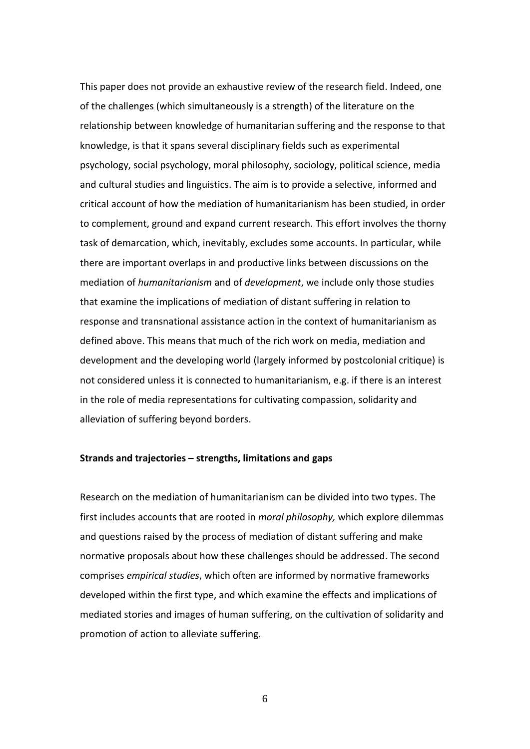This paper does not provide an exhaustive review of the research field. Indeed, one of the challenges (which simultaneously is a strength) of the literature on the relationship between knowledge of humanitarian suffering and the response to that knowledge, is that it spans several disciplinary fields such as experimental psychology, social psychology, moral philosophy, sociology, political science, media and cultural studies and linguistics. The aim is to provide a selective, informed and critical account of how the mediation of humanitarianism has been studied, in order to complement, ground and expand current research. This effort involves the thorny task of demarcation, which, inevitably, excludes some accounts. In particular, while there are important overlaps in and productive links between discussions on the mediation of *humanitarianism* and of *development*, we include only those studies that examine the implications of mediation of distant suffering in relation to response and transnational assistance action in the context of humanitarianism as defined above. This means that much of the rich work on media, mediation and development and the developing world (largely informed by postcolonial critique) is not considered unless it is connected to humanitarianism, e.g. if there is an interest in the role of media representations for cultivating compassion, solidarity and alleviation of suffering beyond borders.

#### **Strands and trajectories – strengths, limitations and gaps**

Research on the mediation of humanitarianism can be divided into two types. The first includes accounts that are rooted in *moral philosophy,* which explore dilemmas and questions raised by the process of mediation of distant suffering and make normative proposals about how these challenges should be addressed. The second comprises *empirical studies*, which often are informed by normative frameworks developed within the first type, and which examine the effects and implications of mediated stories and images of human suffering, on the cultivation of solidarity and promotion of action to alleviate suffering.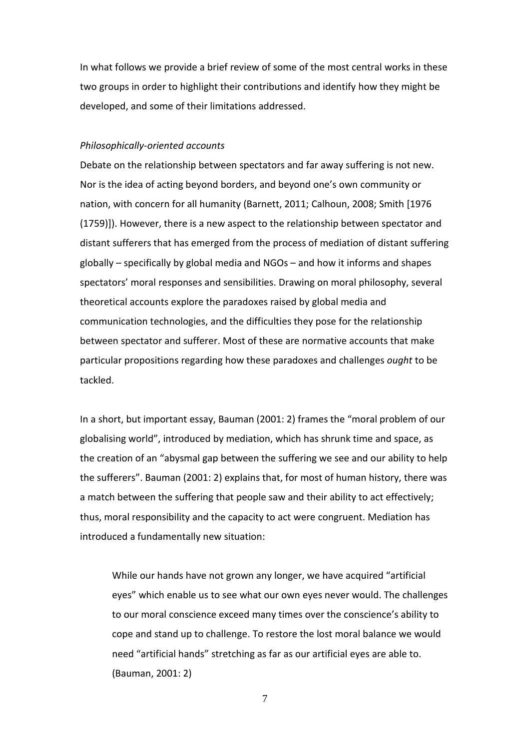In what follows we provide a brief review of some of the most central works in these two groups in order to highlight their contributions and identify how they might be developed, and some of their limitations addressed.

# *Philosophically-oriented accounts*

Debate on the relationship between spectators and far away suffering is not new. Nor is the idea of acting beyond borders, and beyond one's own community or nation, with concern for all humanity (Barnett, 2011; Calhoun, 2008; Smith [1976 (1759)]). However, there is a new aspect to the relationship between spectator and distant sufferers that has emerged from the process of mediation of distant suffering globally – specifically by global media and NGOs – and how it informs and shapes spectators' moral responses and sensibilities. Drawing on moral philosophy, several theoretical accounts explore the paradoxes raised by global media and communication technologies, and the difficulties they pose for the relationship between spectator and sufferer. Most of these are normative accounts that make particular propositions regarding how these paradoxes and challenges *ought* to be tackled.

In a short, but important essay, Bauman (2001: 2) frames the "moral problem of our globalising world", introduced by mediation, which has shrunk time and space, as the creation of an "abysmal gap between the suffering we see and our ability to help the sufferers". Bauman (2001: 2) explains that, for most of human history, there was a match between the suffering that people saw and their ability to act effectively; thus, moral responsibility and the capacity to act were congruent. Mediation has introduced a fundamentally new situation:

While our hands have not grown any longer, we have acquired "artificial eyes" which enable us to see what our own eyes never would. The challenges to our moral conscience exceed many times over the conscience's ability to cope and stand up to challenge. To restore the lost moral balance we would need "artificial hands" stretching as far as our artificial eyes are able to. (Bauman, 2001: 2)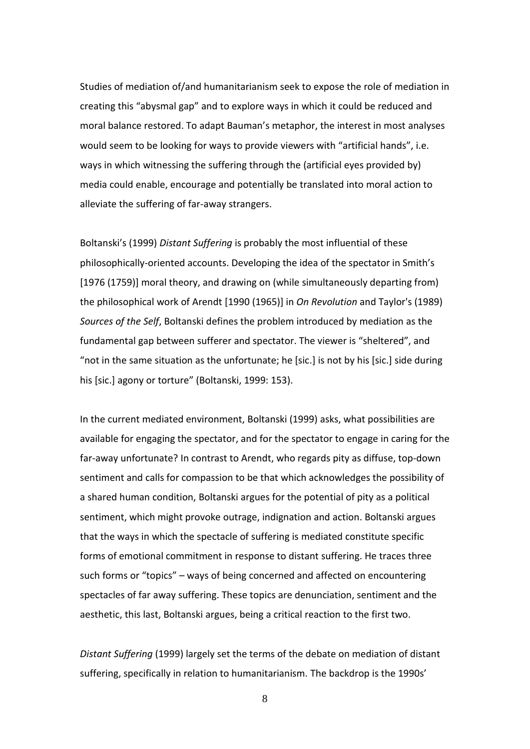Studies of mediation of/and humanitarianism seek to expose the role of mediation in creating this "abysmal gap" and to explore ways in which it could be reduced and moral balance restored. To adapt Bauman's metaphor, the interest in most analyses would seem to be looking for ways to provide viewers with "artificial hands", i.e. ways in which witnessing the suffering through the (artificial eyes provided by) media could enable, encourage and potentially be translated into moral action to alleviate the suffering of far-away strangers.

Boltanski's (1999) *Distant Suffering* is probably the most influential of these philosophically-oriented accounts. Developing the idea of the spectator in Smith's [1976 (1759)] moral theory, and drawing on (while simultaneously departing from) the philosophical work of Arendt [1990 (1965)] in *On Revolution* and Taylor's (1989) *Sources of the Self*, Boltanski defines the problem introduced by mediation as the fundamental gap between sufferer and spectator. The viewer is "sheltered", and "not in the same situation as the unfortunate; he [sic.] is not by his [sic.] side during his [sic.] agony or torture" (Boltanski, 1999: 153).

In the current mediated environment, Boltanski (1999) asks, what possibilities are available for engaging the spectator, and for the spectator to engage in caring for the far-away unfortunate? In contrast to Arendt, who regards pity as diffuse, top-down sentiment and calls for compassion to be that which acknowledges the possibility of a shared human condition, Boltanski argues for the potential of pity as a political sentiment, which might provoke outrage, indignation and action. Boltanski argues that the ways in which the spectacle of suffering is mediated constitute specific forms of emotional commitment in response to distant suffering. He traces three such forms or "topics" – ways of being concerned and affected on encountering spectacles of far away suffering. These topics are denunciation, sentiment and the aesthetic, this last, Boltanski argues, being a critical reaction to the first two.

*Distant Suffering* (1999) largely set the terms of the debate on mediation of distant suffering, specifically in relation to humanitarianism. The backdrop is the 1990s'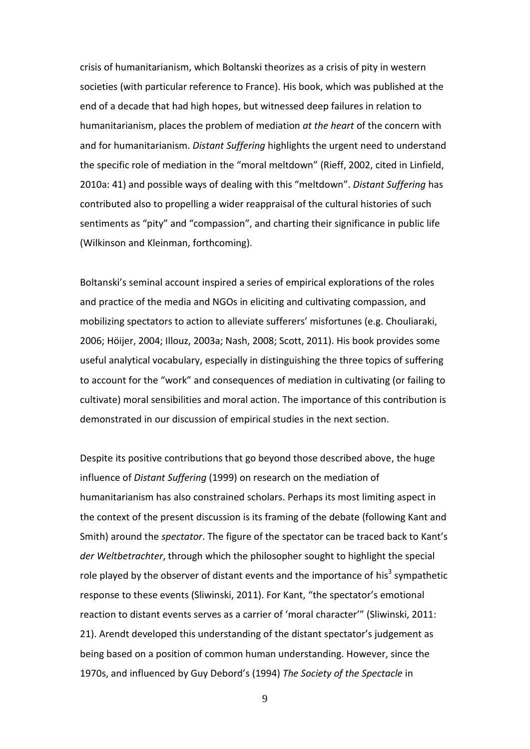crisis of humanitarianism, which Boltanski theorizes as a crisis of pity in western societies (with particular reference to France). His book, which was published at the end of a decade that had high hopes, but witnessed deep failures in relation to humanitarianism, places the problem of mediation *at the heart* of the concern with and for humanitarianism. *Distant Suffering* highlights the urgent need to understand the specific role of mediation in the "moral meltdown" (Rieff, 2002, cited in Linfield, 2010a: 41) and possible ways of dealing with this "meltdown". *Distant Suffering* has contributed also to propelling a wider reappraisal of the cultural histories of such sentiments as "pity" and "compassion", and charting their significance in public life (Wilkinson and Kleinman, forthcoming).

Boltanski's seminal account inspired a series of empirical explorations of the roles and practice of the media and NGOs in eliciting and cultivating compassion, and mobilizing spectators to action to alleviate sufferers' misfortunes (e.g. Chouliaraki, 2006; Höijer, 2004; Illouz, 2003a; Nash, 2008; Scott, 2011). His book provides some useful analytical vocabulary, especially in distinguishing the three topics of suffering to account for the "work" and consequences of mediation in cultivating (or failing to cultivate) moral sensibilities and moral action. The importance of this contribution is demonstrated in our discussion of empirical studies in the next section.

Despite its positive contributions that go beyond those described above, the huge influence of *Distant Suffering* (1999) on research on the mediation of humanitarianism has also constrained scholars. Perhaps its most limiting aspect in the context of the present discussion is its framing of the debate (following Kant and Smith) around the *spectator*. The figure of the spectator can be traced back to Kant's *der Weltbetrachter*, through which the philosopher sought to highlight the special role played by the observer of distant events and the importance of his<sup>3</sup> sympathetic response to these events (Sliwinski, 2011). For Kant, "the spectator's emotional reaction to distant events serves as a carrier of 'moral character'" (Sliwinski, 2011: 21). Arendt developed this understanding of the distant spectator's judgement as being based on a position of common human understanding. However, since the 1970s, and influenced by Guy Debord's (1994) *The Society of the Spectacle* in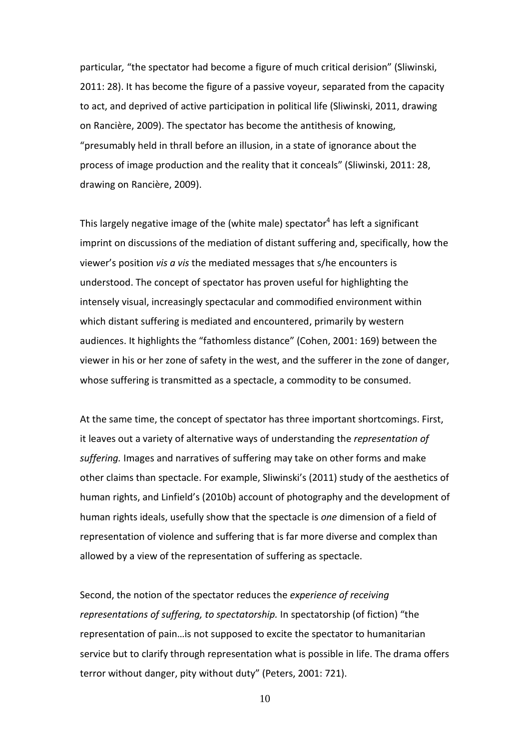particular*,* "the spectator had become a figure of much critical derision" (Sliwinski, 2011: 28). It has become the figure of a passive voyeur, separated from the capacity to act, and deprived of active participation in political life (Sliwinski, 2011, drawing on Rancière, 2009). The spectator has become the antithesis of knowing, "presumably held in thrall before an illusion, in a state of ignorance about the process of image production and the reality that it conceals" (Sliwinski, 2011: 28, drawing on Rancière, 2009).

This largely negative image of the (white male) spectator<sup>4</sup> has left a significant imprint on discussions of the mediation of distant suffering and, specifically, how the viewer's position *vis a vis* the mediated messages that s/he encounters is understood. The concept of spectator has proven useful for highlighting the intensely visual, increasingly spectacular and commodified environment within which distant suffering is mediated and encountered, primarily by western audiences. It highlights the "fathomless distance" (Cohen, 2001: 169) between the viewer in his or her zone of safety in the west, and the sufferer in the zone of danger, whose suffering is transmitted as a spectacle, a commodity to be consumed.

At the same time, the concept of spectator has three important shortcomings. First, it leaves out a variety of alternative ways of understanding the *representation of suffering.* Images and narratives of suffering may take on other forms and make other claims than spectacle. For example, Sliwinski's (2011) study of the aesthetics of human rights, and Linfield's (2010b) account of photography and the development of human rights ideals, usefully show that the spectacle is *one* dimension of a field of representation of violence and suffering that is far more diverse and complex than allowed by a view of the representation of suffering as spectacle.

Second, the notion of the spectator reduces the *experience of receiving representations of suffering, to spectatorship.* In spectatorship (of fiction) "the representation of pain…is not supposed to excite the spectator to humanitarian service but to clarify through representation what is possible in life. The drama offers terror without danger, pity without duty" (Peters, 2001: 721).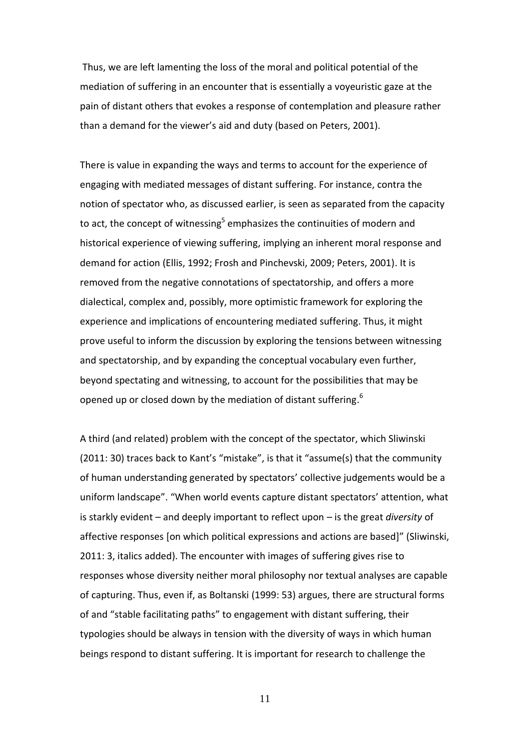Thus, we are left lamenting the loss of the moral and political potential of the mediation of suffering in an encounter that is essentially a voyeuristic gaze at the pain of distant others that evokes a response of contemplation and pleasure rather than a demand for the viewer's aid and duty (based on Peters, 2001).

There is value in expanding the ways and terms to account for the experience of engaging with mediated messages of distant suffering. For instance, contra the notion of spectator who, as discussed earlier, is seen as separated from the capacity to act, the concept of witnessing<sup>5</sup> emphasizes the continuities of modern and historical experience of viewing suffering, implying an inherent moral response and demand for action (Ellis, 1992; Frosh and Pinchevski, 2009; Peters, 2001). It is removed from the negative connotations of spectatorship, and offers a more dialectical, complex and, possibly, more optimistic framework for exploring the experience and implications of encountering mediated suffering. Thus, it might prove useful to inform the discussion by exploring the tensions between witnessing and spectatorship, and by expanding the conceptual vocabulary even further, beyond spectating and witnessing, to account for the possibilities that may be opened up or closed down by the mediation of distant suffering.<sup>6</sup>

A third (and related) problem with the concept of the spectator, which Sliwinski (2011: 30) traces back to Kant's "mistake", is that it "assume(s) that the community of human understanding generated by spectators' collective judgements would be a uniform landscape". "When world events capture distant spectators' attention, what is starkly evident – and deeply important to reflect upon – is the great *diversity* of affective responses [on which political expressions and actions are based]" (Sliwinski, 2011: 3, italics added). The encounter with images of suffering gives rise to responses whose diversity neither moral philosophy nor textual analyses are capable of capturing. Thus, even if, as Boltanski (1999: 53) argues, there are structural forms of and "stable facilitating paths" to engagement with distant suffering, their typologies should be always in tension with the diversity of ways in which human beings respond to distant suffering. It is important for research to challenge the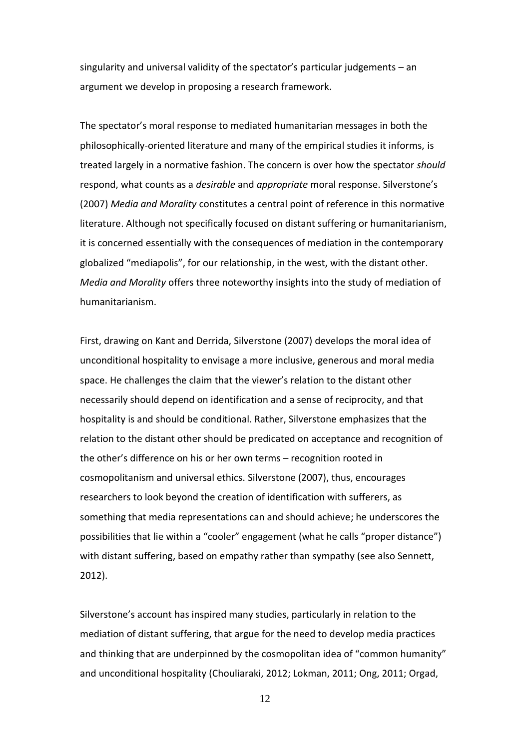singularity and universal validity of the spectator's particular judgements – an argument we develop in proposing a research framework.

The spectator's moral response to mediated humanitarian messages in both the philosophically-oriented literature and many of the empirical studies it informs, is treated largely in a normative fashion. The concern is over how the spectator *should* respond, what counts as a *desirable* and *appropriate* moral response. Silverstone's (2007) *Media and Morality* constitutes a central point of reference in this normative literature. Although not specifically focused on distant suffering or humanitarianism, it is concerned essentially with the consequences of mediation in the contemporary globalized "mediapolis", for our relationship, in the west, with the distant other. *Media and Morality* offers three noteworthy insights into the study of mediation of humanitarianism.

First, drawing on Kant and Derrida, Silverstone (2007) develops the moral idea of unconditional hospitality to envisage a more inclusive, generous and moral media space. He challenges the claim that the viewer's relation to the distant other necessarily should depend on identification and a sense of reciprocity, and that hospitality is and should be conditional. Rather, Silverstone emphasizes that the relation to the distant other should be predicated on acceptance and recognition of the other's difference on his or her own terms – recognition rooted in cosmopolitanism and universal ethics. Silverstone (2007), thus, encourages researchers to look beyond the creation of identification with sufferers, as something that media representations can and should achieve; he underscores the possibilities that lie within a "cooler" engagement (what he calls "proper distance") with distant suffering, based on empathy rather than sympathy (see also Sennett, 2012).

Silverstone's account has inspired many studies, particularly in relation to the mediation of distant suffering, that argue for the need to develop media practices and thinking that are underpinned by the cosmopolitan idea of "common humanity" and unconditional hospitality (Chouliaraki, 2012; Lokman, 2011; Ong, 2011; Orgad,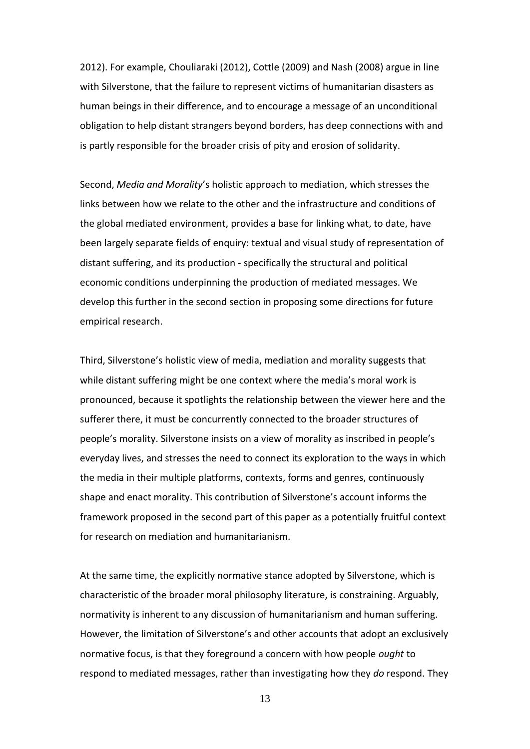2012). For example, Chouliaraki (2012), Cottle (2009) and Nash (2008) argue in line with Silverstone, that the failure to represent victims of humanitarian disasters as human beings in their difference, and to encourage a message of an unconditional obligation to help distant strangers beyond borders, has deep connections with and is partly responsible for the broader crisis of pity and erosion of solidarity.

Second, *Media and Morality*'s holistic approach to mediation, which stresses the links between how we relate to the other and the infrastructure and conditions of the global mediated environment, provides a base for linking what, to date, have been largely separate fields of enquiry: textual and visual study of representation of distant suffering, and its production - specifically the structural and political economic conditions underpinning the production of mediated messages. We develop this further in the second section in proposing some directions for future empirical research.

Third, Silverstone's holistic view of media, mediation and morality suggests that while distant suffering might be one context where the media's moral work is pronounced, because it spotlights the relationship between the viewer here and the sufferer there, it must be concurrently connected to the broader structures of people's morality. Silverstone insists on a view of morality as inscribed in people's everyday lives, and stresses the need to connect its exploration to the ways in which the media in their multiple platforms, contexts, forms and genres, continuously shape and enact morality. This contribution of Silverstone's account informs the framework proposed in the second part of this paper as a potentially fruitful context for research on mediation and humanitarianism.

At the same time, the explicitly normative stance adopted by Silverstone, which is characteristic of the broader moral philosophy literature, is constraining. Arguably, normativity is inherent to any discussion of humanitarianism and human suffering. However, the limitation of Silverstone's and other accounts that adopt an exclusively normative focus, is that they foreground a concern with how people *ought* to respond to mediated messages, rather than investigating how they *do* respond. They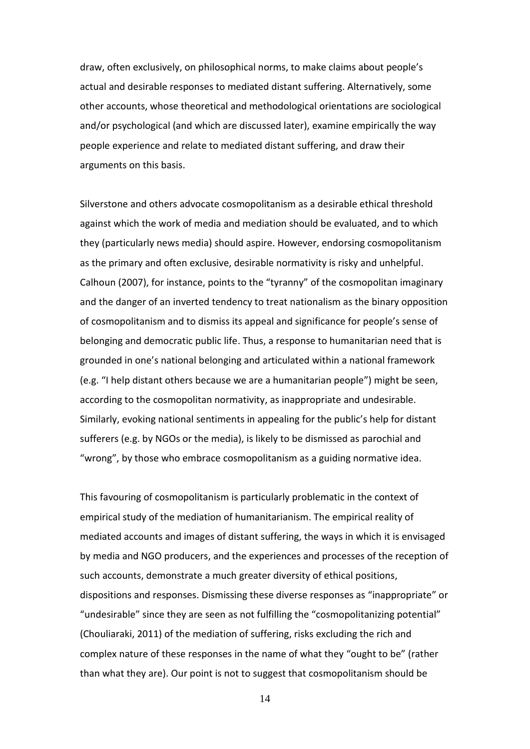draw, often exclusively, on philosophical norms, to make claims about people's actual and desirable responses to mediated distant suffering. Alternatively, some other accounts, whose theoretical and methodological orientations are sociological and/or psychological (and which are discussed later), examine empirically the way people experience and relate to mediated distant suffering, and draw their arguments on this basis.

Silverstone and others advocate cosmopolitanism as a desirable ethical threshold against which the work of media and mediation should be evaluated, and to which they (particularly news media) should aspire. However, endorsing cosmopolitanism as the primary and often exclusive, desirable normativity is risky and unhelpful. Calhoun (2007), for instance, points to the "tyranny" of the cosmopolitan imaginary and the danger of an inverted tendency to treat nationalism as the binary opposition of cosmopolitanism and to dismiss its appeal and significance for people's sense of belonging and democratic public life. Thus, a response to humanitarian need that is grounded in one's national belonging and articulated within a national framework (e.g. "I help distant others because we are a humanitarian people") might be seen, according to the cosmopolitan normativity, as inappropriate and undesirable. Similarly, evoking national sentiments in appealing for the public's help for distant sufferers (e.g. by NGOs or the media), is likely to be dismissed as parochial and "wrong", by those who embrace cosmopolitanism as a guiding normative idea.

This favouring of cosmopolitanism is particularly problematic in the context of empirical study of the mediation of humanitarianism. The empirical reality of mediated accounts and images of distant suffering, the ways in which it is envisaged by media and NGO producers, and the experiences and processes of the reception of such accounts, demonstrate a much greater diversity of ethical positions, dispositions and responses. Dismissing these diverse responses as "inappropriate" or "undesirable" since they are seen as not fulfilling the "cosmopolitanizing potential" (Chouliaraki, 2011) of the mediation of suffering, risks excluding the rich and complex nature of these responses in the name of what they "ought to be" (rather than what they are). Our point is not to suggest that cosmopolitanism should be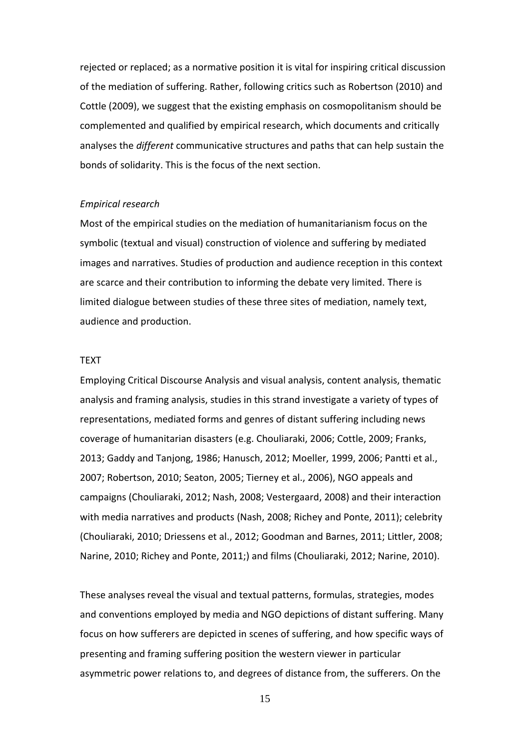rejected or replaced; as a normative position it is vital for inspiring critical discussion of the mediation of suffering. Rather, following critics such as Robertson (2010) and Cottle (2009), we suggest that the existing emphasis on cosmopolitanism should be complemented and qualified by empirical research, which documents and critically analyses the *different* communicative structures and paths that can help sustain the bonds of solidarity. This is the focus of the next section.

#### *Empirical research*

Most of the empirical studies on the mediation of humanitarianism focus on the symbolic (textual and visual) construction of violence and suffering by mediated images and narratives. Studies of production and audience reception in this context are scarce and their contribution to informing the debate very limited. There is limited dialogue between studies of these three sites of mediation, namely text, audience and production.

#### TEXT

Employing Critical Discourse Analysis and visual analysis, content analysis, thematic analysis and framing analysis, studies in this strand investigate a variety of types of representations, mediated forms and genres of distant suffering including news coverage of humanitarian disasters (e.g. Chouliaraki, 2006; Cottle, 2009; Franks, 2013; Gaddy and Tanjong, 1986; Hanusch, 2012; Moeller, 1999, 2006; Pantti et al., 2007; Robertson, 2010; Seaton, 2005; Tierney et al., 2006), NGO appeals and campaigns (Chouliaraki, 2012; Nash, 2008; Vestergaard, 2008) and their interaction with media narratives and products (Nash, 2008; Richey and Ponte, 2011); celebrity (Chouliaraki, 2010; Driessens et al., 2012; Goodman and Barnes, 2011; Littler, 2008; Narine, 2010; Richey and Ponte, 2011;) and films (Chouliaraki, 2012; Narine, 2010).

These analyses reveal the visual and textual patterns, formulas, strategies, modes and conventions employed by media and NGO depictions of distant suffering. Many focus on how sufferers are depicted in scenes of suffering, and how specific ways of presenting and framing suffering position the western viewer in particular asymmetric power relations to, and degrees of distance from, the sufferers. On the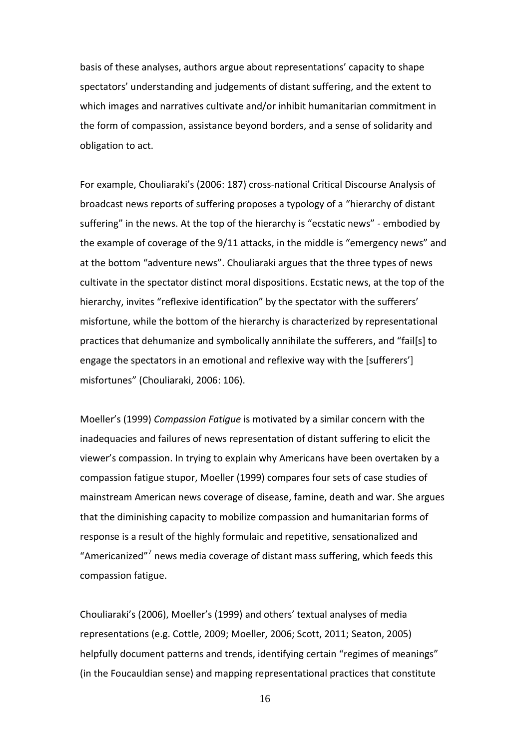basis of these analyses, authors argue about representations' capacity to shape spectators' understanding and judgements of distant suffering, and the extent to which images and narratives cultivate and/or inhibit humanitarian commitment in the form of compassion, assistance beyond borders, and a sense of solidarity and obligation to act.

For example, Chouliaraki's (2006: 187) cross-national Critical Discourse Analysis of broadcast news reports of suffering proposes a typology of a "hierarchy of distant suffering" in the news. At the top of the hierarchy is "ecstatic news" - embodied by the example of coverage of the 9/11 attacks, in the middle is "emergency news" and at the bottom "adventure news". Chouliaraki argues that the three types of news cultivate in the spectator distinct moral dispositions. Ecstatic news, at the top of the hierarchy, invites "reflexive identification" by the spectator with the sufferers' misfortune, while the bottom of the hierarchy is characterized by representational practices that dehumanize and symbolically annihilate the sufferers, and "fail[s] to engage the spectators in an emotional and reflexive way with the [sufferers'] misfortunes" (Chouliaraki, 2006: 106).

Moeller's (1999) *Compassion Fatigue* is motivated by a similar concern with the inadequacies and failures of news representation of distant suffering to elicit the viewer's compassion. In trying to explain why Americans have been overtaken by a compassion fatigue stupor, Moeller (1999) compares four sets of case studies of mainstream American news coverage of disease, famine, death and war. She argues that the diminishing capacity to mobilize compassion and humanitarian forms of response is a result of the highly formulaic and repetitive, sensationalized and "Americanized"<sup>7</sup> news media coverage of distant mass suffering, which feeds this compassion fatigue.

Chouliaraki's (2006), Moeller's (1999) and others' textual analyses of media representations (e.g. Cottle, 2009; Moeller, 2006; Scott, 2011; Seaton, 2005) helpfully document patterns and trends, identifying certain "regimes of meanings" (in the Foucauldian sense) and mapping representational practices that constitute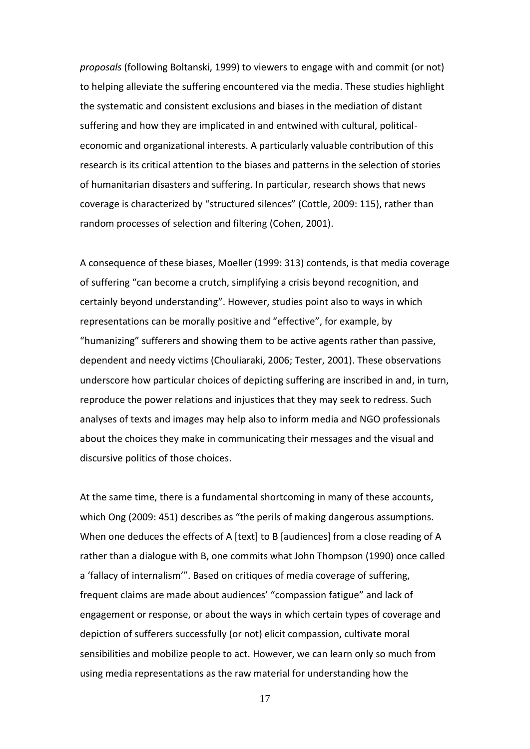*proposals* (following Boltanski, 1999) to viewers to engage with and commit (or not) to helping alleviate the suffering encountered via the media. These studies highlight the systematic and consistent exclusions and biases in the mediation of distant suffering and how they are implicated in and entwined with cultural, politicaleconomic and organizational interests. A particularly valuable contribution of this research is its critical attention to the biases and patterns in the selection of stories of humanitarian disasters and suffering. In particular, research shows that news coverage is characterized by "structured silences" (Cottle, 2009: 115), rather than random processes of selection and filtering (Cohen, 2001).

A consequence of these biases, Moeller (1999: 313) contends, is that media coverage of suffering "can become a crutch, simplifying a crisis beyond recognition, and certainly beyond understanding". However, studies point also to ways in which representations can be morally positive and "effective", for example, by "humanizing" sufferers and showing them to be active agents rather than passive, dependent and needy victims (Chouliaraki, 2006; Tester, 2001). These observations underscore how particular choices of depicting suffering are inscribed in and, in turn, reproduce the power relations and injustices that they may seek to redress. Such analyses of texts and images may help also to inform media and NGO professionals about the choices they make in communicating their messages and the visual and discursive politics of those choices.

At the same time, there is a fundamental shortcoming in many of these accounts, which Ong (2009: 451) describes as "the perils of making dangerous assumptions. When one deduces the effects of A [text] to B [audiences] from a close reading of A rather than a dialogue with B, one commits what John Thompson (1990) once called a 'fallacy of internalism'". Based on critiques of media coverage of suffering, frequent claims are made about audiences' "compassion fatigue" and lack of engagement or response, or about the ways in which certain types of coverage and depiction of sufferers successfully (or not) elicit compassion, cultivate moral sensibilities and mobilize people to act. However, we can learn only so much from using media representations as the raw material for understanding how the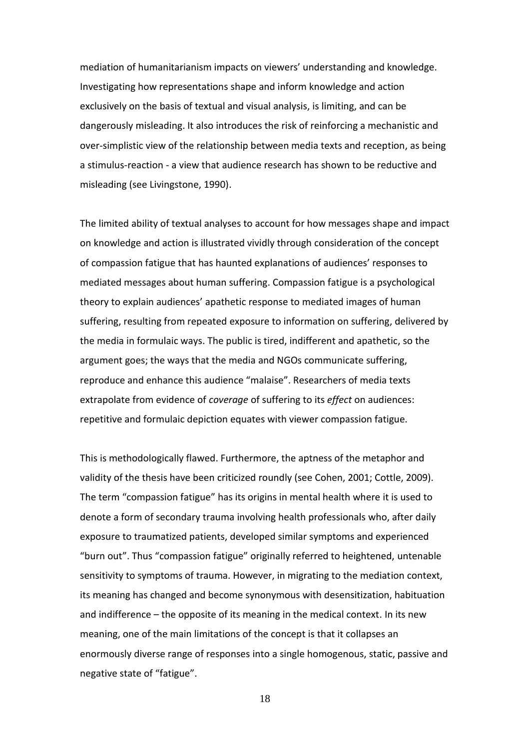mediation of humanitarianism impacts on viewers' understanding and knowledge. Investigating how representations shape and inform knowledge and action exclusively on the basis of textual and visual analysis, is limiting, and can be dangerously misleading. It also introduces the risk of reinforcing a mechanistic and over-simplistic view of the relationship between media texts and reception, as being a stimulus-reaction - a view that audience research has shown to be reductive and misleading (see Livingstone, 1990).

The limited ability of textual analyses to account for how messages shape and impact on knowledge and action is illustrated vividly through consideration of the concept of compassion fatigue that has haunted explanations of audiences' responses to mediated messages about human suffering. Compassion fatigue is a psychological theory to explain audiences' apathetic response to mediated images of human suffering, resulting from repeated exposure to information on suffering, delivered by the media in formulaic ways. The public is tired, indifferent and apathetic, so the argument goes; the ways that the media and NGOs communicate suffering, reproduce and enhance this audience "malaise". Researchers of media texts extrapolate from evidence of *coverage* of suffering to its *effect* on audiences: repetitive and formulaic depiction equates with viewer compassion fatigue.

This is methodologically flawed. Furthermore, the aptness of the metaphor and validity of the thesis have been criticized roundly (see Cohen, 2001; Cottle, 2009). The term "compassion fatigue" has its origins in mental health where it is used to denote a form of secondary trauma involving health professionals who, after daily exposure to traumatized patients, developed similar symptoms and experienced "burn out". Thus "compassion fatigue" originally referred to heightened, untenable sensitivity to symptoms of trauma. However, in migrating to the mediation context, its meaning has changed and become synonymous with desensitization, habituation and indifference – the opposite of its meaning in the medical context. In its new meaning, one of the main limitations of the concept is that it collapses an enormously diverse range of responses into a single homogenous, static, passive and negative state of "fatigue".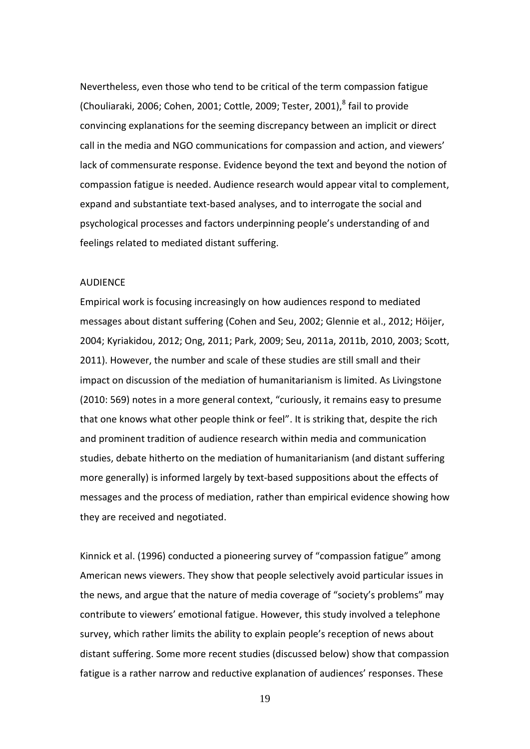Nevertheless, even those who tend to be critical of the term compassion fatigue (Chouliaraki, 2006; Cohen, 2001; Cottle, 2009; Tester, 2001), $^8$  fail to provide convincing explanations for the seeming discrepancy between an implicit or direct call in the media and NGO communications for compassion and action, and viewers' lack of commensurate response. Evidence beyond the text and beyond the notion of compassion fatigue is needed. Audience research would appear vital to complement, expand and substantiate text-based analyses, and to interrogate the social and psychological processes and factors underpinning people's understanding of and feelings related to mediated distant suffering.

# **AUDIFNCF**

Empirical work is focusing increasingly on how audiences respond to mediated messages about distant suffering (Cohen and Seu, 2002; Glennie et al., 2012; Höijer, 2004; Kyriakidou, 2012; Ong, 2011; Park, 2009; Seu, 2011a, 2011b, 2010, 2003; Scott, 2011). However, the number and scale of these studies are still small and their impact on discussion of the mediation of humanitarianism is limited. As Livingstone (2010: 569) notes in a more general context, "curiously, it remains easy to presume that one knows what other people think or feel". It is striking that, despite the rich and prominent tradition of audience research within media and communication studies, debate hitherto on the mediation of humanitarianism (and distant suffering more generally) is informed largely by text-based suppositions about the effects of messages and the process of mediation, rather than empirical evidence showing how they are received and negotiated.

Kinnick et al. (1996) conducted a pioneering survey of "compassion fatigue" among American news viewers. They show that people selectively avoid particular issues in the news, and argue that the nature of media coverage of "society's problems" may contribute to viewers' emotional fatigue. However, this study involved a telephone survey, which rather limits the ability to explain people's reception of news about distant suffering. Some more recent studies (discussed below) show that compassion fatigue is a rather narrow and reductive explanation of audiences' responses. These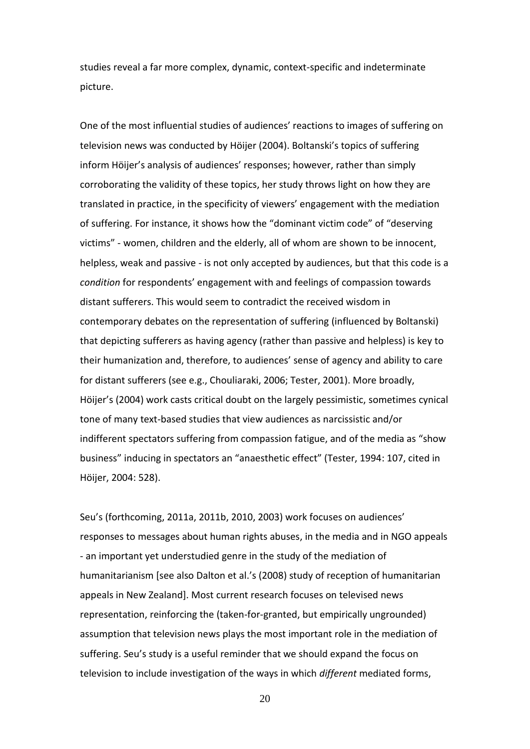studies reveal a far more complex, dynamic, context-specific and indeterminate picture.

One of the most influential studies of audiences' reactions to images of suffering on television news was conducted by Höijer (2004). Boltanski's topics of suffering inform Höijer's analysis of audiences' responses; however, rather than simply corroborating the validity of these topics, her study throws light on how they are translated in practice, in the specificity of viewers' engagement with the mediation of suffering. For instance, it shows how the "dominant victim code" of "deserving victims" - women, children and the elderly, all of whom are shown to be innocent, helpless, weak and passive - is not only accepted by audiences, but that this code is a *condition* for respondents' engagement with and feelings of compassion towards distant sufferers. This would seem to contradict the received wisdom in contemporary debates on the representation of suffering (influenced by Boltanski) that depicting sufferers as having agency (rather than passive and helpless) is key to their humanization and, therefore, to audiences' sense of agency and ability to care for distant sufferers (see e.g., Chouliaraki, 2006; Tester, 2001). More broadly, Höijer's (2004) work casts critical doubt on the largely pessimistic, sometimes cynical tone of many text-based studies that view audiences as narcissistic and/or indifferent spectators suffering from compassion fatigue, and of the media as "show business" inducing in spectators an "anaesthetic effect" (Tester, 1994: 107, cited in Höijer, 2004: 528).

Seu's (forthcoming, 2011a, 2011b, 2010, 2003) work focuses on audiences' responses to messages about human rights abuses, in the media and in NGO appeals - an important yet understudied genre in the study of the mediation of humanitarianism [see also Dalton et al.'s (2008) study of reception of humanitarian appeals in New Zealand]. Most current research focuses on televised news representation, reinforcing the (taken-for-granted, but empirically ungrounded) assumption that television news plays the most important role in the mediation of suffering. Seu's study is a useful reminder that we should expand the focus on television to include investigation of the ways in which *different* mediated forms,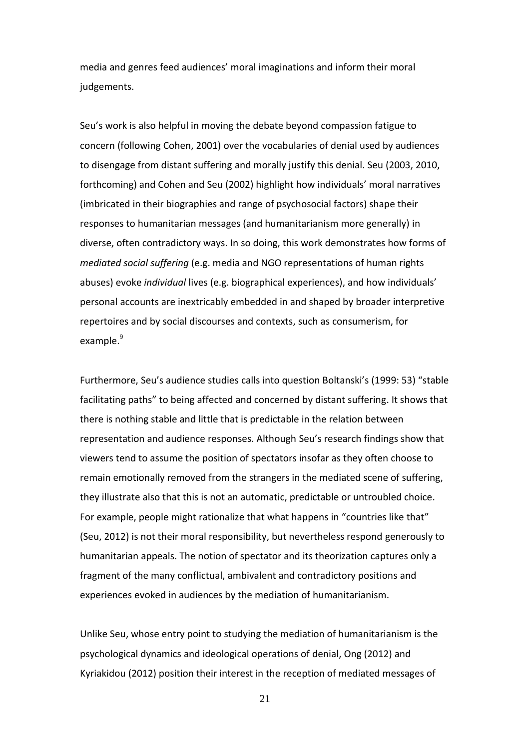media and genres feed audiences' moral imaginations and inform their moral judgements.

Seu's work is also helpful in moving the debate beyond compassion fatigue to concern (following Cohen, 2001) over the vocabularies of denial used by audiences to disengage from distant suffering and morally justify this denial. Seu (2003, 2010, forthcoming) and Cohen and Seu (2002) highlight how individuals' moral narratives (imbricated in their biographies and range of psychosocial factors) shape their responses to humanitarian messages (and humanitarianism more generally) in diverse, often contradictory ways. In so doing, this work demonstrates how forms of *mediated social suffering* (e.g. media and NGO representations of human rights abuses) evoke *individual* lives (e.g. biographical experiences), and how individuals' personal accounts are inextricably embedded in and shaped by broader interpretive repertoires and by social discourses and contexts, such as consumerism, for example.<sup>9</sup>

Furthermore, Seu's audience studies calls into question Boltanski's (1999: 53) "stable facilitating paths" to being affected and concerned by distant suffering. It shows that there is nothing stable and little that is predictable in the relation between representation and audience responses. Although Seu's research findings show that viewers tend to assume the position of spectators insofar as they often choose to remain emotionally removed from the strangers in the mediated scene of suffering, they illustrate also that this is not an automatic, predictable or untroubled choice. For example, people might rationalize that what happens in "countries like that" (Seu, 2012) is not their moral responsibility, but nevertheless respond generously to humanitarian appeals. The notion of spectator and its theorization captures only a fragment of the many conflictual, ambivalent and contradictory positions and experiences evoked in audiences by the mediation of humanitarianism.

Unlike Seu, whose entry point to studying the mediation of humanitarianism is the psychological dynamics and ideological operations of denial, Ong (2012) and Kyriakidou (2012) position their interest in the reception of mediated messages of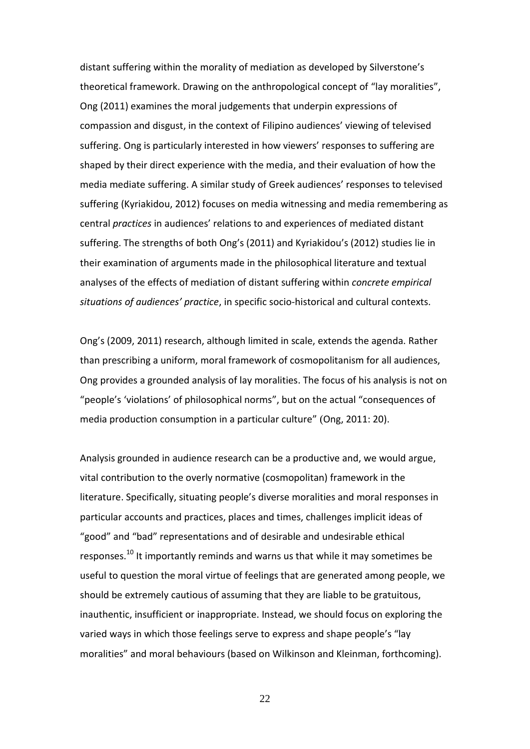distant suffering within the morality of mediation as developed by Silverstone's theoretical framework. Drawing on the anthropological concept of "lay moralities", Ong (2011) examines the moral judgements that underpin expressions of compassion and disgust, in the context of Filipino audiences' viewing of televised suffering. Ong is particularly interested in how viewers' responses to suffering are shaped by their direct experience with the media, and their evaluation of how the media mediate suffering. A similar study of Greek audiences' responses to televised suffering (Kyriakidou, 2012) focuses on media witnessing and media remembering as central *practices* in audiences' relations to and experiences of mediated distant suffering. The strengths of both Ong's (2011) and Kyriakidou's (2012) studies lie in their examination of arguments made in the philosophical literature and textual analyses of the effects of mediation of distant suffering within *concrete empirical situations of audiences' practice*, in specific socio-historical and cultural contexts.

Ong's (2009, 2011) research, although limited in scale, extends the agenda. Rather than prescribing a uniform, moral framework of cosmopolitanism for all audiences, Ong provides a grounded analysis of lay moralities. The focus of his analysis is not on "people's 'violations' of philosophical norms", but on the actual "consequences of media production consumption in a particular culture" (Ong, 2011: 20).

Analysis grounded in audience research can be a productive and, we would argue, vital contribution to the overly normative (cosmopolitan) framework in the literature. Specifically, situating people's diverse moralities and moral responses in particular accounts and practices, places and times, challenges implicit ideas of "good" and "bad" representations and of desirable and undesirable ethical responses.<sup>10</sup> It importantly reminds and warns us that while it may sometimes be useful to question the moral virtue of feelings that are generated among people, we should be extremely cautious of assuming that they are liable to be gratuitous, inauthentic, insufficient or inappropriate. Instead, we should focus on exploring the varied ways in which those feelings serve to express and shape people's "lay moralities" and moral behaviours (based on Wilkinson and Kleinman, forthcoming).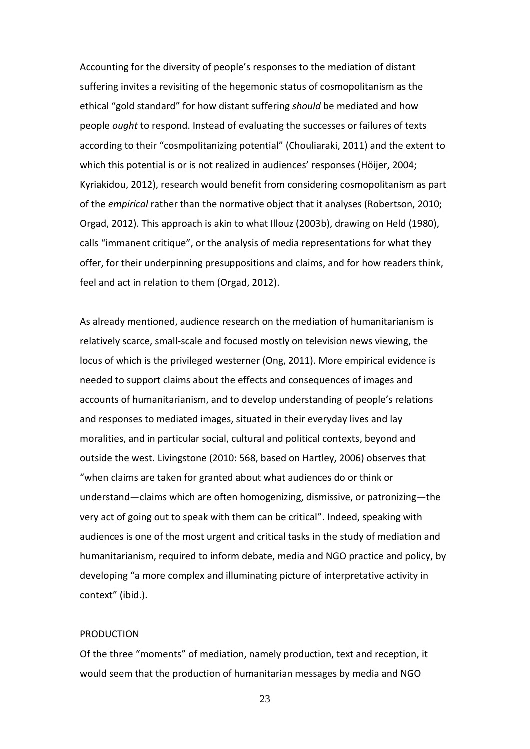Accounting for the diversity of people's responses to the mediation of distant suffering invites a revisiting of the hegemonic status of cosmopolitanism as the ethical "gold standard" for how distant suffering *should* be mediated and how people *ought* to respond. Instead of evaluating the successes or failures of texts according to their "cosmpolitanizing potential" (Chouliaraki, 2011) and the extent to which this potential is or is not realized in audiences' responses (Höijer, 2004; Kyriakidou, 2012), research would benefit from considering cosmopolitanism as part of the *empirical* rather than the normative object that it analyses (Robertson, 2010; Orgad, 2012). This approach is akin to what Illouz (2003b), drawing on Held (1980), calls "immanent critique", or the analysis of media representations for what they offer, for their underpinning presuppositions and claims, and for how readers think, feel and act in relation to them (Orgad, 2012).

As already mentioned, audience research on the mediation of humanitarianism is relatively scarce, small-scale and focused mostly on television news viewing, the locus of which is the privileged westerner (Ong, 2011). More empirical evidence is needed to support claims about the effects and consequences of images and accounts of humanitarianism, and to develop understanding of people's relations and responses to mediated images, situated in their everyday lives and lay moralities, and in particular social, cultural and political contexts, beyond and outside the west. Livingstone (2010: 568, based on Hartley, 2006) observes that "when claims are taken for granted about what audiences do or think or understand—claims which are often homogenizing, dismissive, or patronizing—the very act of going out to speak with them can be critical". Indeed, speaking with audiences is one of the most urgent and critical tasks in the study of mediation and humanitarianism, required to inform debate, media and NGO practice and policy, by developing "a more complex and illuminating picture of interpretative activity in context" (ibid.).

#### PRODUCTION

Of the three "moments" of mediation, namely production, text and reception, it would seem that the production of humanitarian messages by media and NGO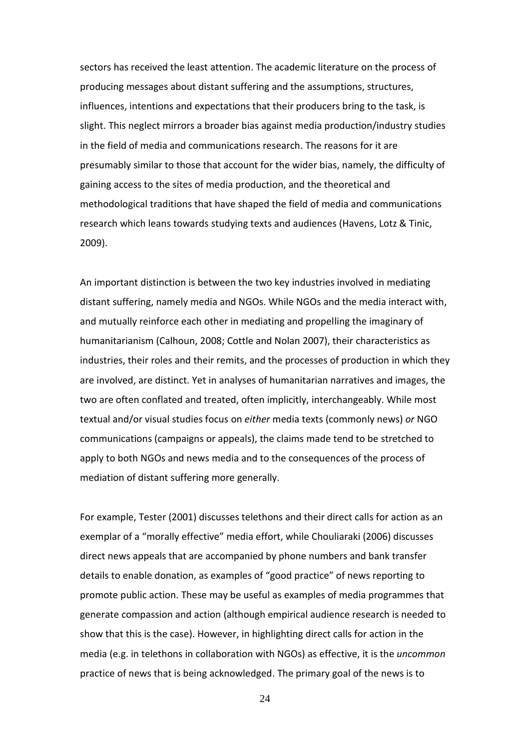sectors has received the least attention. The academic literature on the process of producing messages about distant suffering and the assumptions, structures, influences, intentions and expectations that their producers bring to the task, is slight. This neglect mirrors a broader bias against media production/industry studies in the field of media and communications research. The reasons for it are presumably similar to those that account for the wider bias, namely, the difficulty of gaining access to the sites of media production, and the theoretical and methodological traditions that have shaped the field of media and communications research which leans towards studying texts and audiences (Havens, Lotz & Tinic, 2009).

An important distinction is between the two key industries involved in mediating distant suffering, namely media and NGOs. While NGOs and the media interact with, and mutually reinforce each other in mediating and propelling the imaginary of humanitarianism (Calhoun, 2008; Cottle and Nolan 2007), their characteristics as industries, their roles and their remits, and the processes of production in which they are involved, are distinct. Yet in analyses of humanitarian narratives and images, the two are often conflated and treated, often implicitly, interchangeably. While most textual and/or visual studies focus on *either* media texts (commonly news) *or* NGO communications (campaigns or appeals), the claims made tend to be stretched to apply to both NGOs and news media and to the consequences of the process of mediation of distant suffering more generally.

For example, Tester (2001) discusses telethons and their direct calls for action as an exemplar of a "morally effective" media effort, while Chouliaraki (2006) discusses direct news appeals that are accompanied by phone numbers and bank transfer details to enable donation, as examples of "good practice" of news reporting to promote public action. These may be useful as examples of media programmes that generate compassion and action (although empirical audience research is needed to show that this is the case). However, in highlighting direct calls for action in the media (e.g. in telethons in collaboration with NGOs) as effective, it is the *uncommon* practice of news that is being acknowledged. The primary goal of the news is to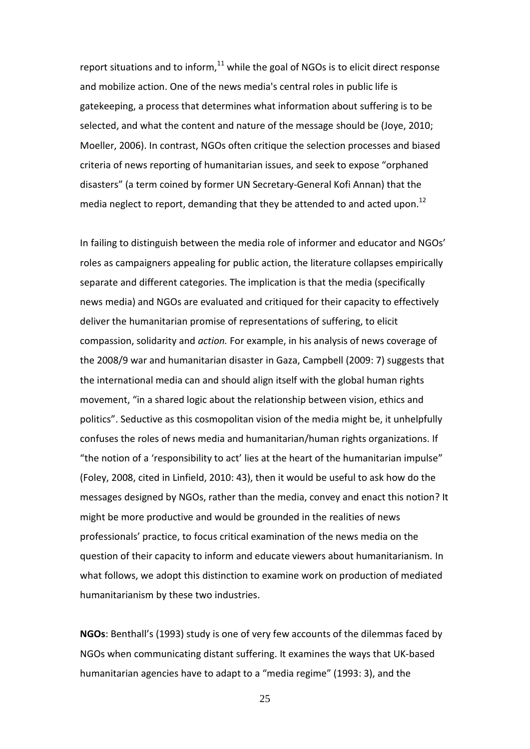report situations and to inform, $^{11}$  while the goal of NGOs is to elicit direct response and mobilize action. One of the news media's central roles in public life is gatekeeping, a process that determines what information about suffering is to be selected, and what the content and nature of the message should be (Joye, 2010; Moeller, 2006). In contrast, NGOs often critique the selection processes and biased criteria of news reporting of humanitarian issues, and seek to expose "orphaned disasters" (a term coined by former UN Secretary-General Kofi Annan) that the media neglect to report, demanding that they be attended to and acted upon.<sup>12</sup>

In failing to distinguish between the media role of informer and educator and NGOs' roles as campaigners appealing for public action, the literature collapses empirically separate and different categories. The implication is that the media (specifically news media) and NGOs are evaluated and critiqued for their capacity to effectively deliver the humanitarian promise of representations of suffering, to elicit compassion, solidarity and *action.* For example, in his analysis of news coverage of the 2008/9 war and humanitarian disaster in Gaza, Campbell (2009: 7) suggests that the international media can and should align itself with the global human rights movement, "in a shared logic about the relationship between vision, ethics and politics". Seductive as this cosmopolitan vision of the media might be, it unhelpfully confuses the roles of news media and humanitarian/human rights organizations. If "the notion of a 'responsibility to act' lies at the heart of the humanitarian impulse" (Foley, 2008, cited in Linfield, 2010: 43), then it would be useful to ask how do the messages designed by NGOs, rather than the media, convey and enact this notion? It might be more productive and would be grounded in the realities of news professionals' practice, to focus critical examination of the news media on the question of their capacity to inform and educate viewers about humanitarianism*.* In what follows, we adopt this distinction to examine work on production of mediated humanitarianism by these two industries.

**NGOs**: Benthall's (1993) study is one of very few accounts of the dilemmas faced by NGOs when communicating distant suffering. It examines the ways that UK-based humanitarian agencies have to adapt to a "media regime" (1993: 3), and the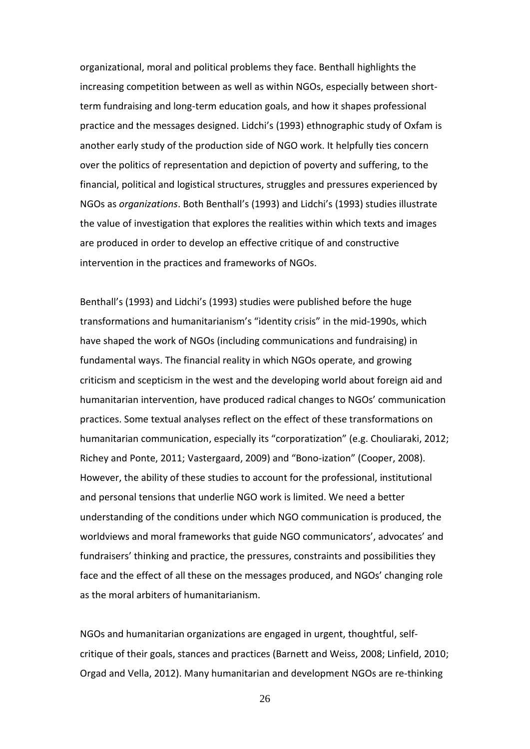organizational, moral and political problems they face. Benthall highlights the increasing competition between as well as within NGOs, especially between shortterm fundraising and long-term education goals, and how it shapes professional practice and the messages designed. Lidchi's (1993) ethnographic study of Oxfam is another early study of the production side of NGO work. It helpfully ties concern over the politics of representation and depiction of poverty and suffering, to the financial, political and logistical structures, struggles and pressures experienced by NGOs as *organizations*. Both Benthall's (1993) and Lidchi's (1993) studies illustrate the value of investigation that explores the realities within which texts and images are produced in order to develop an effective critique of and constructive intervention in the practices and frameworks of NGOs.

Benthall's (1993) and Lidchi's (1993) studies were published before the huge transformations and humanitarianism's "identity crisis" in the mid-1990s, which have shaped the work of NGOs (including communications and fundraising) in fundamental ways. The financial reality in which NGOs operate, and growing criticism and scepticism in the west and the developing world about foreign aid and humanitarian intervention, have produced radical changes to NGOs' communication practices. Some textual analyses reflect on the effect of these transformations on humanitarian communication, especially its "corporatization" (e.g. Chouliaraki, 2012; Richey and Ponte, 2011; Vastergaard, 2009) and "Bono-ization" (Cooper, 2008). However, the ability of these studies to account for the professional, institutional and personal tensions that underlie NGO work is limited. We need a better understanding of the conditions under which NGO communication is produced, the worldviews and moral frameworks that guide NGO communicators', advocates' and fundraisers' thinking and practice, the pressures, constraints and possibilities they face and the effect of all these on the messages produced, and NGOs' changing role as the moral arbiters of humanitarianism.

NGOs and humanitarian organizations are engaged in urgent, thoughtful, selfcritique of their goals, stances and practices (Barnett and Weiss, 2008; Linfield, 2010; Orgad and Vella, 2012). Many humanitarian and development NGOs are re-thinking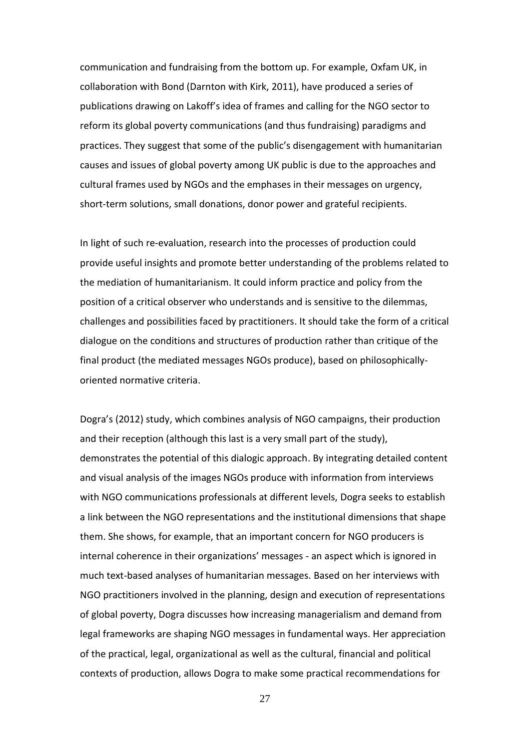communication and fundraising from the bottom up. For example, Oxfam UK, in collaboration with Bond (Darnton with Kirk, 2011), have produced a series of publications drawing on Lakoff's idea of frames and calling for the NGO sector to reform its global poverty communications (and thus fundraising) paradigms and practices. They suggest that some of the public's disengagement with humanitarian causes and issues of global poverty among UK public is due to the approaches and cultural frames used by NGOs and the emphases in their messages on urgency, short-term solutions, small donations, donor power and grateful recipients.

In light of such re-evaluation, research into the processes of production could provide useful insights and promote better understanding of the problems related to the mediation of humanitarianism. It could inform practice and policy from the position of a critical observer who understands and is sensitive to the dilemmas, challenges and possibilities faced by practitioners. It should take the form of a critical dialogue on the conditions and structures of production rather than critique of the final product (the mediated messages NGOs produce), based on philosophicallyoriented normative criteria.

Dogra's (2012) study, which combines analysis of NGO campaigns, their production and their reception (although this last is a very small part of the study), demonstrates the potential of this dialogic approach. By integrating detailed content and visual analysis of the images NGOs produce with information from interviews with NGO communications professionals at different levels, Dogra seeks to establish a link between the NGO representations and the institutional dimensions that shape them. She shows, for example, that an important concern for NGO producers is internal coherence in their organizations' messages - an aspect which is ignored in much text-based analyses of humanitarian messages. Based on her interviews with NGO practitioners involved in the planning, design and execution of representations of global poverty, Dogra discusses how increasing managerialism and demand from legal frameworks are shaping NGO messages in fundamental ways. Her appreciation of the practical, legal, organizational as well as the cultural, financial and political contexts of production, allows Dogra to make some practical recommendations for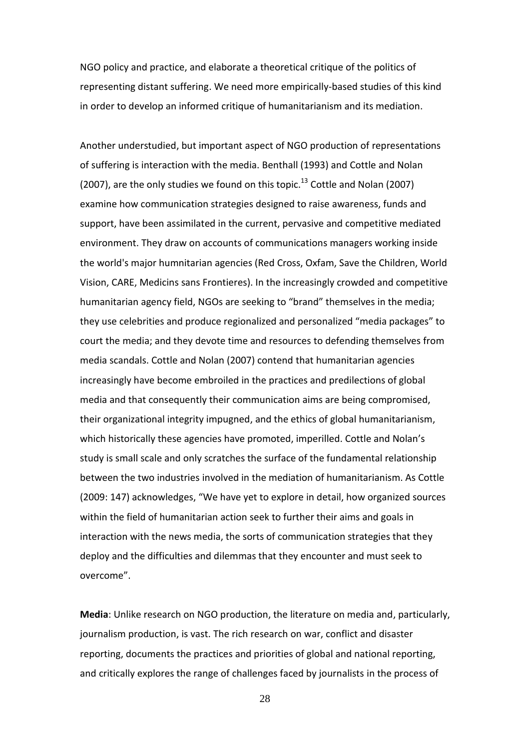NGO policy and practice, and elaborate a theoretical critique of the politics of representing distant suffering. We need more empirically-based studies of this kind in order to develop an informed critique of humanitarianism and its mediation.

Another understudied, but important aspect of NGO production of representations of suffering is interaction with the media. Benthall (1993) and Cottle and Nolan (2007), are the only studies we found on this topic.<sup>13</sup> Cottle and Nolan (2007) examine how communication strategies designed to raise awareness, funds and support, have been assimilated in the current, pervasive and competitive mediated environment. They draw on accounts of communications managers working inside the world's major humnitarian agencies (Red Cross, Oxfam, Save the Children, World Vision, CARE, Medicins sans Frontieres). In the increasingly crowded and competitive humanitarian agency field, NGOs are seeking to "brand" themselves in the media; they use celebrities and produce regionalized and personalized "media packages" to court the media; and they devote time and resources to defending themselves from media scandals. Cottle and Nolan (2007) contend that humanitarian agencies increasingly have become embroiled in the practices and predilections of global media and that consequently their communication aims are being compromised, their organizational integrity impugned, and the ethics of global humanitarianism, which historically these agencies have promoted, imperilled. Cottle and Nolan's study is small scale and only scratches the surface of the fundamental relationship between the two industries involved in the mediation of humanitarianism. As Cottle (2009: 147) acknowledges, "We have yet to explore in detail, how organized sources within the field of humanitarian action seek to further their aims and goals in interaction with the news media, the sorts of communication strategies that they deploy and the difficulties and dilemmas that they encounter and must seek to overcome".

**Media**: Unlike research on NGO production, the literature on media and, particularly, journalism production, is vast. The rich research on war, conflict and disaster reporting, documents the practices and priorities of global and national reporting, and critically explores the range of challenges faced by journalists in the process of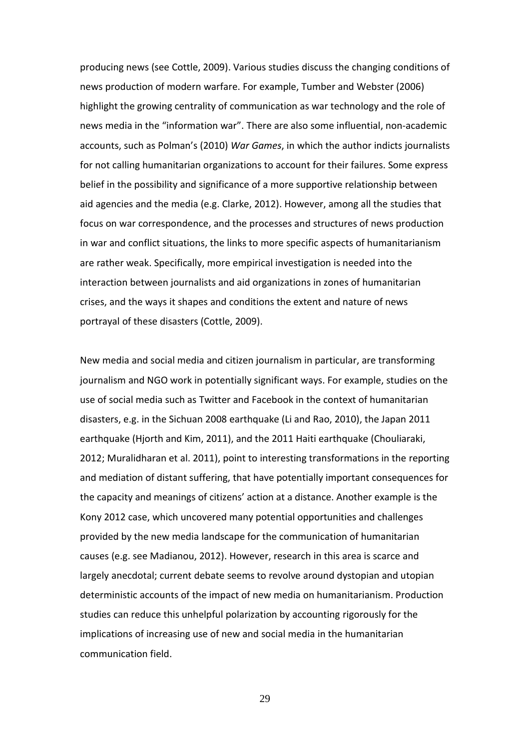producing news (see Cottle, 2009). Various studies discuss the changing conditions of news production of modern warfare. For example, Tumber and Webster (2006) highlight the growing centrality of communication as war technology and the role of news media in the "information war". There are also some influential, non-academic accounts, such as Polman's (2010) *War Games*, in which the author indicts journalists for not calling humanitarian organizations to account for their failures. Some express belief in the possibility and significance of a more supportive relationship between aid agencies and the media (e.g. Clarke, 2012). However, among all the studies that focus on war correspondence, and the processes and structures of news production in war and conflict situations, the links to more specific aspects of humanitarianism are rather weak. Specifically, more empirical investigation is needed into the interaction between journalists and aid organizations in zones of humanitarian crises, and the ways it shapes and conditions the extent and nature of news portrayal of these disasters (Cottle, 2009).

New media and social media and citizen journalism in particular, are transforming journalism and NGO work in potentially significant ways. For example, studies on the use of social media such as Twitter and Facebook in the context of humanitarian disasters, e.g. in the Sichuan 2008 earthquake (Li and Rao, 2010), the Japan 2011 earthquake (Hjorth and Kim, 2011), and the 2011 Haiti earthquake (Chouliaraki, 2012; Muralidharan et al. 2011), point to interesting transformations in the reporting and mediation of distant suffering, that have potentially important consequences for the capacity and meanings of citizens' action at a distance. Another example is the Kony 2012 case, which uncovered many potential opportunities and challenges provided by the new media landscape for the communication of humanitarian causes (e.g. see Madianou, 2012). However, research in this area is scarce and largely anecdotal; current debate seems to revolve around dystopian and utopian deterministic accounts of the impact of new media on humanitarianism. Production studies can reduce this unhelpful polarization by accounting rigorously for the implications of increasing use of new and social media in the humanitarian communication field.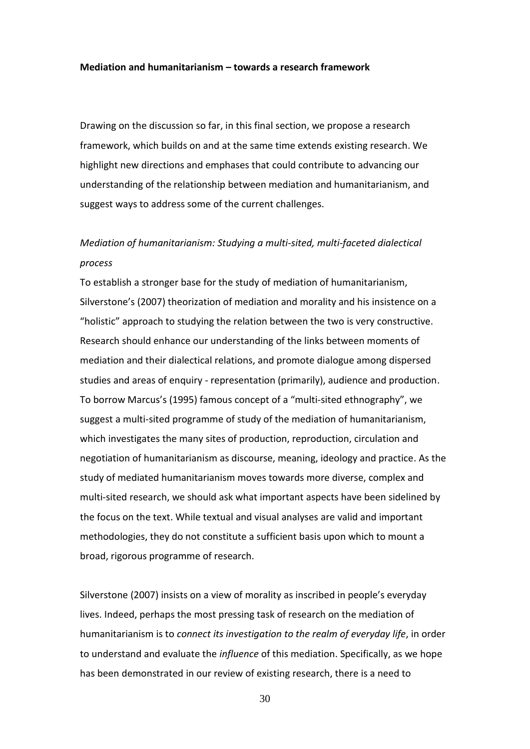#### **Mediation and humanitarianism – towards a research framework**

Drawing on the discussion so far, in this final section, we propose a research framework, which builds on and at the same time extends existing research. We highlight new directions and emphases that could contribute to advancing our understanding of the relationship between mediation and humanitarianism, and suggest ways to address some of the current challenges.

# *Mediation of humanitarianism: Studying a multi-sited, multi-faceted dialectical process*

To establish a stronger base for the study of mediation of humanitarianism, Silverstone's (2007) theorization of mediation and morality and his insistence on a "holistic" approach to studying the relation between the two is very constructive. Research should enhance our understanding of the links between moments of mediation and their dialectical relations, and promote dialogue among dispersed studies and areas of enquiry - representation (primarily), audience and production. To borrow Marcus's (1995) famous concept of a "multi-sited ethnography", we suggest a multi-sited programme of study of the mediation of humanitarianism, which investigates the many sites of production, reproduction, circulation and negotiation of humanitarianism as discourse, meaning, ideology and practice. As the study of mediated humanitarianism moves towards more diverse, complex and multi-sited research, we should ask what important aspects have been sidelined by the focus on the text. While textual and visual analyses are valid and important methodologies, they do not constitute a sufficient basis upon which to mount a broad, rigorous programme of research.

Silverstone (2007) insists on a view of morality as inscribed in people's everyday lives. Indeed, perhaps the most pressing task of research on the mediation of humanitarianism is to *connect its investigation to the realm of everyday life*, in order to understand and evaluate the *influence* of this mediation. Specifically, as we hope has been demonstrated in our review of existing research, there is a need to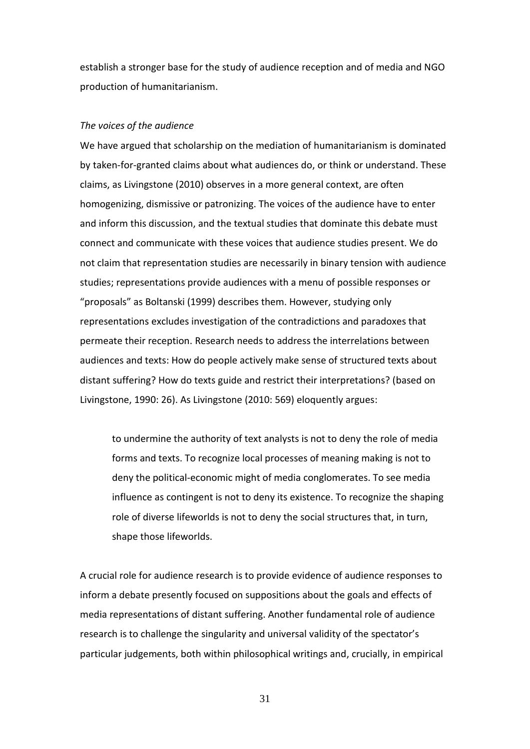establish a stronger base for the study of audience reception and of media and NGO production of humanitarianism.

# *The voices of the audience*

We have argued that scholarship on the mediation of humanitarianism is dominated by taken-for-granted claims about what audiences do, or think or understand. These claims, as Livingstone (2010) observes in a more general context, are often homogenizing, dismissive or patronizing. The voices of the audience have to enter and inform this discussion, and the textual studies that dominate this debate must connect and communicate with these voices that audience studies present. We do not claim that representation studies are necessarily in binary tension with audience studies; representations provide audiences with a menu of possible responses or "proposals" as Boltanski (1999) describes them. However, studying only representations excludes investigation of the contradictions and paradoxes that permeate their reception. Research needs to address the interrelations between audiences and texts: How do people actively make sense of structured texts about distant suffering? How do texts guide and restrict their interpretations? (based on Livingstone, 1990: 26). As Livingstone (2010: 569) eloquently argues:

to undermine the authority of text analysts is not to deny the role of media forms and texts. To recognize local processes of meaning making is not to deny the political-economic might of media conglomerates. To see media influence as contingent is not to deny its existence. To recognize the shaping role of diverse lifeworlds is not to deny the social structures that, in turn, shape those lifeworlds.

A crucial role for audience research is to provide evidence of audience responses to inform a debate presently focused on suppositions about the goals and effects of media representations of distant suffering. Another fundamental role of audience research is to challenge the singularity and universal validity of the spectator's particular judgements, both within philosophical writings and, crucially, in empirical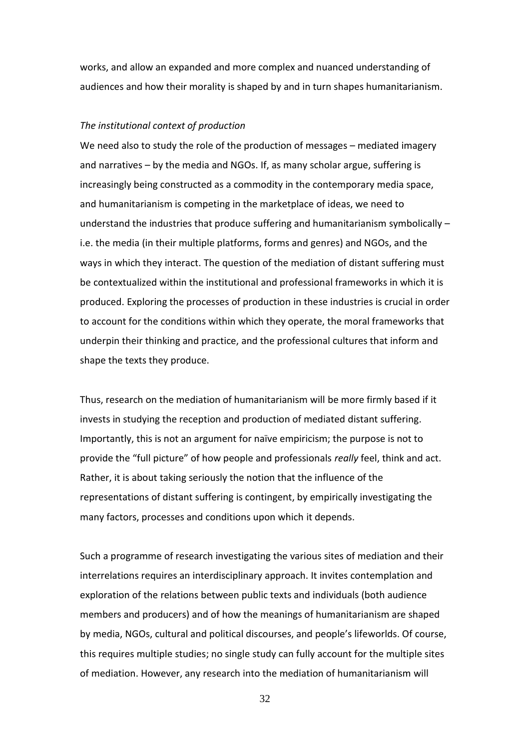works, and allow an expanded and more complex and nuanced understanding of audiences and how their morality is shaped by and in turn shapes humanitarianism.

# *The institutional context of production*

We need also to study the role of the production of messages – mediated imagery and narratives – by the media and NGOs. If, as many scholar argue, suffering is increasingly being constructed as a commodity in the contemporary media space, and humanitarianism is competing in the marketplace of ideas, we need to understand the industries that produce suffering and humanitarianism symbolically – i.e. the media (in their multiple platforms, forms and genres) and NGOs, and the ways in which they interact. The question of the mediation of distant suffering must be contextualized within the institutional and professional frameworks in which it is produced. Exploring the processes of production in these industries is crucial in order to account for the conditions within which they operate, the moral frameworks that underpin their thinking and practice, and the professional cultures that inform and shape the texts they produce.

Thus, research on the mediation of humanitarianism will be more firmly based if it invests in studying the reception and production of mediated distant suffering. Importantly, this is not an argument for naïve empiricism; the purpose is not to provide the "full picture" of how people and professionals *really* feel, think and act. Rather, it is about taking seriously the notion that the influence of the representations of distant suffering is contingent, by empirically investigating the many factors, processes and conditions upon which it depends.

Such a programme of research investigating the various sites of mediation and their interrelations requires an interdisciplinary approach. It invites contemplation and exploration of the relations between public texts and individuals (both audience members and producers) and of how the meanings of humanitarianism are shaped by media, NGOs, cultural and political discourses, and people's lifeworlds. Of course, this requires multiple studies; no single study can fully account for the multiple sites of mediation. However, any research into the mediation of humanitarianism will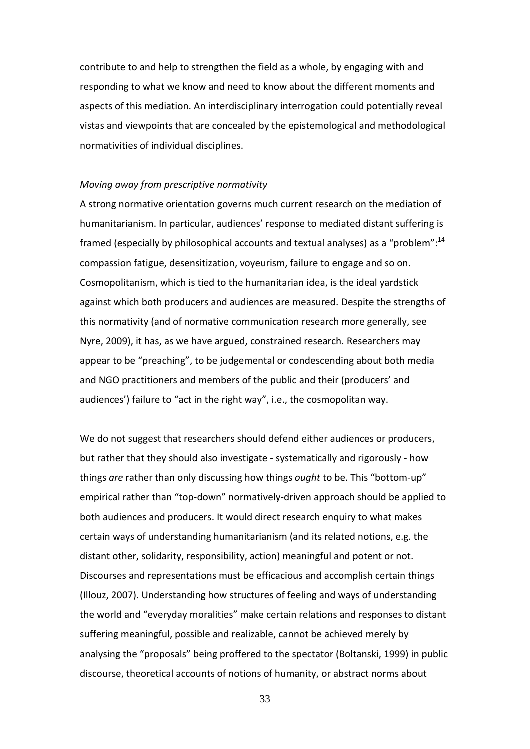contribute to and help to strengthen the field as a whole, by engaging with and responding to what we know and need to know about the different moments and aspects of this mediation. An interdisciplinary interrogation could potentially reveal vistas and viewpoints that are concealed by the epistemological and methodological normativities of individual disciplines.

#### *Moving away from prescriptive normativity*

A strong normative orientation governs much current research on the mediation of humanitarianism. In particular, audiences' response to mediated distant suffering is framed (especially by philosophical accounts and textual analyses) as a "problem":<sup>14</sup> compassion fatigue, desensitization, voyeurism, failure to engage and so on. Cosmopolitanism, which is tied to the humanitarian idea, is the ideal yardstick against which both producers and audiences are measured. Despite the strengths of this normativity (and of normative communication research more generally, see Nyre, 2009), it has, as we have argued, constrained research. Researchers may appear to be "preaching", to be judgemental or condescending about both media and NGO practitioners and members of the public and their (producers' and audiences') failure to "act in the right way", i.e., the cosmopolitan way.

We do not suggest that researchers should defend either audiences or producers, but rather that they should also investigate - systematically and rigorously - how things *are* rather than only discussing how things *ought* to be. This "bottom-up" empirical rather than "top-down" normatively-driven approach should be applied to both audiences and producers. It would direct research enquiry to what makes certain ways of understanding humanitarianism (and its related notions, e.g. the distant other, solidarity, responsibility, action) meaningful and potent or not. Discourses and representations must be efficacious and accomplish certain things (Illouz, 2007). Understanding how structures of feeling and ways of understanding the world and "everyday moralities" make certain relations and responses to distant suffering meaningful, possible and realizable, cannot be achieved merely by analysing the "proposals" being proffered to the spectator (Boltanski, 1999) in public discourse, theoretical accounts of notions of humanity, or abstract norms about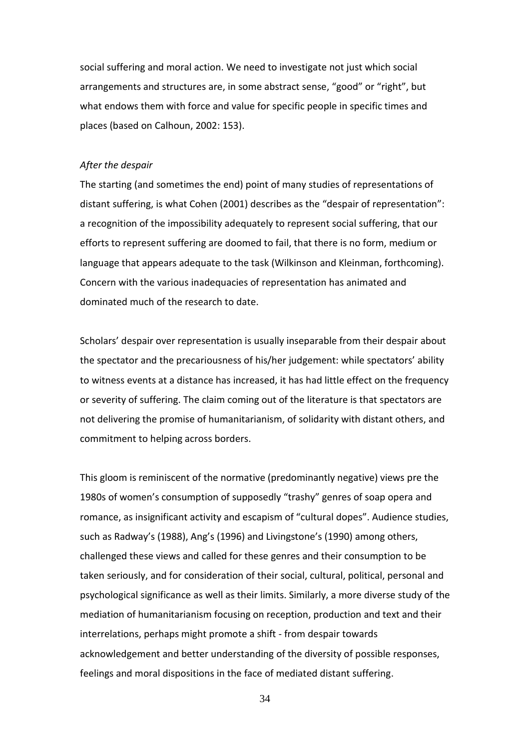social suffering and moral action. We need to investigate not just which social arrangements and structures are, in some abstract sense, "good" or "right", but what endows them with force and value for specific people in specific times and places (based on Calhoun, 2002: 153).

# *After the despair*

The starting (and sometimes the end) point of many studies of representations of distant suffering, is what Cohen (2001) describes as the "despair of representation": a recognition of the impossibility adequately to represent social suffering, that our efforts to represent suffering are doomed to fail, that there is no form, medium or language that appears adequate to the task (Wilkinson and Kleinman, forthcoming). Concern with the various inadequacies of representation has animated and dominated much of the research to date.

Scholars' despair over representation is usually inseparable from their despair about the spectator and the precariousness of his/her judgement: while spectators' ability to witness events at a distance has increased, it has had little effect on the frequency or severity of suffering. The claim coming out of the literature is that spectators are not delivering the promise of humanitarianism, of solidarity with distant others, and commitment to helping across borders.

This gloom is reminiscent of the normative (predominantly negative) views pre the 1980s of women's consumption of supposedly "trashy" genres of soap opera and romance, as insignificant activity and escapism of "cultural dopes". Audience studies, such as Radway's (1988), Ang's (1996) and Livingstone's (1990) among others, challenged these views and called for these genres and their consumption to be taken seriously, and for consideration of their social, cultural, political, personal and psychological significance as well as their limits. Similarly, a more diverse study of the mediation of humanitarianism focusing on reception, production and text and their interrelations, perhaps might promote a shift - from despair towards acknowledgement and better understanding of the diversity of possible responses, feelings and moral dispositions in the face of mediated distant suffering.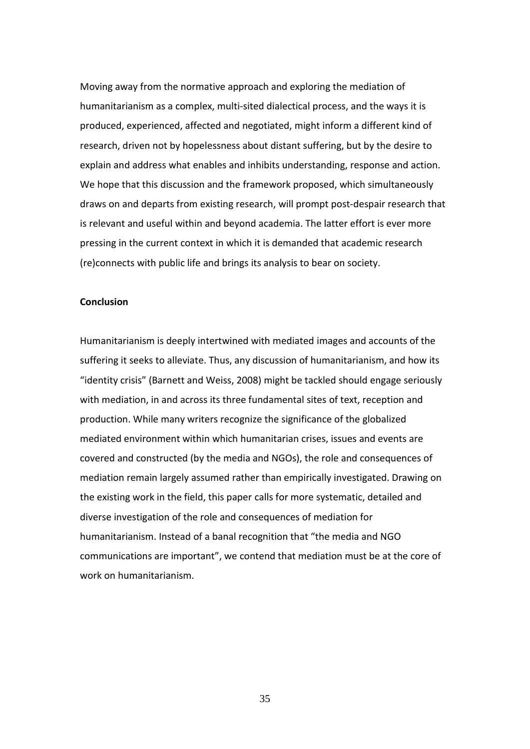Moving away from the normative approach and exploring the mediation of humanitarianism as a complex, multi-sited dialectical process, and the ways it is produced, experienced, affected and negotiated, might inform a different kind of research, driven not by hopelessness about distant suffering, but by the desire to explain and address what enables and inhibits understanding, response and action. We hope that this discussion and the framework proposed, which simultaneously draws on and departs from existing research, will prompt post-despair research that is relevant and useful within and beyond academia. The latter effort is ever more pressing in the current context in which it is demanded that academic research (re)connects with public life and brings its analysis to bear on society.

#### **Conclusion**

Humanitarianism is deeply intertwined with mediated images and accounts of the suffering it seeks to alleviate. Thus, any discussion of humanitarianism, and how its "identity crisis" (Barnett and Weiss, 2008) might be tackled should engage seriously with mediation, in and across its three fundamental sites of text, reception and production. While many writers recognize the significance of the globalized mediated environment within which humanitarian crises, issues and events are covered and constructed (by the media and NGOs), the role and consequences of mediation remain largely assumed rather than empirically investigated. Drawing on the existing work in the field, this paper calls for more systematic, detailed and diverse investigation of the role and consequences of mediation for humanitarianism. Instead of a banal recognition that "the media and NGO communications are important", we contend that mediation must be at the core of work on humanitarianism.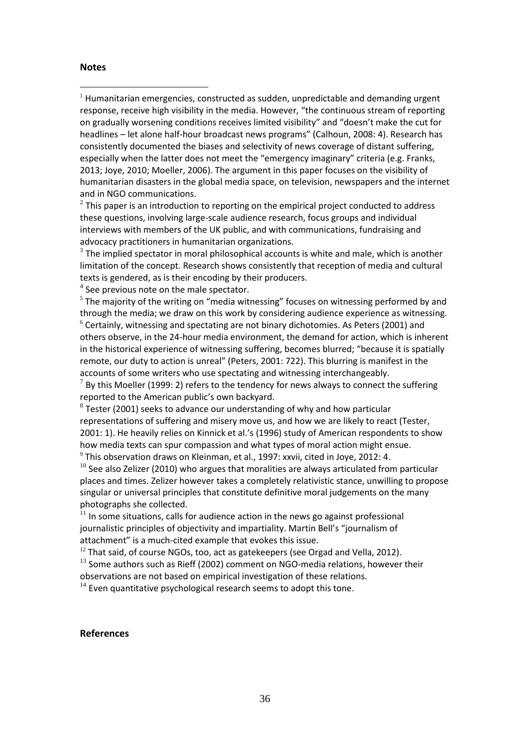# **Notes**

 $\overline{a}$ 

 $1$  Humanitarian emergencies, constructed as sudden, unpredictable and demanding urgent response, receive high visibility in the media. However, "the continuous stream of reporting on gradually worsening conditions receives limited visibility" and "doesn't make the cut for headlines – let alone half-hour broadcast news programs" (Calhoun, 2008: 4). Research has consistently documented the biases and selectivity of news coverage of distant suffering, especially when the latter does not meet the "emergency imaginary" criteria (e.g. Franks, 2013; Joye, 2010; Moeller, 2006). The argument in this paper focuses on the visibility of humanitarian disasters in the global media space, on television, newspapers and the internet and in NGO communications.

 $^{2}$  This paper is an introduction to reporting on the empirical project conducted to address these questions, involving large-scale audience research, focus groups and individual interviews with members of the UK public, and with communications, fundraising and advocacy practitioners in humanitarian organizations.

 $3$  The implied spectator in moral philosophical accounts is white and male, which is another limitation of the concept. Research shows consistently that reception of media and cultural texts is gendered, as is their encoding by their producers.

 $<sup>4</sup>$  See previous note on the male spectator.</sup>

 $<sup>5</sup>$  The majority of the writing on "media witnessing" focuses on witnessing performed by and</sup> through the media; we draw on this work by considering audience experience as witnessing.  $6$  Certainly, witnessing and spectating are not binary dichotomies. As Peters (2001) and others observe, in the 24-hour media environment, the demand for action, which is inherent in the historical experience of witnessing suffering, becomes blurred; "because it is spatially remote, our duty to action is unreal" (Peters, 2001: 722). This blurring is manifest in the accounts of some writers who use spectating and witnessing interchangeably.  $^7$  By this Moeller (1999: 2) refers to the tendency for news always to connect the suffering reported to the American public's own backyard.

 $^8$  Tester (2001) seeks to advance our understanding of why and how particular representations of suffering and misery move us, and how we are likely to react (Tester, 2001: 1). He heavily relies on Kinnick et al.'s (1996) study of American respondents to show how media texts can spur compassion and what types of moral action might ensue.  $^9$  This observation draws on Kleinman, et al., 1997: xxvii, cited in Joye, 2012: 4.

 $10$  See also Zelizer (2010) who argues that moralities are always articulated from particular places and times. Zelizer however takes a completely relativistic stance, unwilling to propose singular or universal principles that constitute definitive moral judgements on the many photographs she collected.

 $11$  In some situations, calls for audience action in the news go against professional journalistic principles of objectivity and impartiality. Martin Bell's "journalism of attachment" is a much-cited example that evokes this issue.

 $12$  That said, of course NGOs, too, act as gatekeepers (see Orgad and Vella, 2012).

 $13$  Some authors such as Rieff (2002) comment on NGO-media relations, however their observations are not based on empirical investigation of these relations.

 $14$  Even quantitative psychological research seems to adopt this tone.

# **References**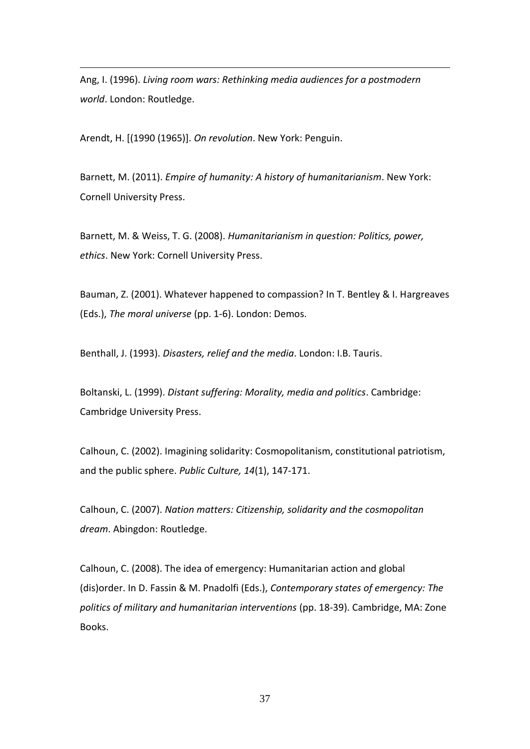Ang, I. (1996). *Living room wars: Rethinking media audiences for a postmodern world*. London: Routledge.

Arendt, H. [(1990 (1965)]. *On revolution*. New York: Penguin.

1

Barnett, M. (2011). *Empire of humanity: A history of humanitarianism*. New York: Cornell University Press.

Barnett, M. & Weiss, T. G. (2008). *Humanitarianism in question: Politics, power, ethics*. New York: Cornell University Press.

Bauman, Z. (2001). Whatever happened to compassion? In T. Bentley & I. Hargreaves (Eds.), *The moral universe* (pp. 1-6). London: Demos.

Benthall, J. (1993). *Disasters, relief and the media*. London: I.B. Tauris.

Boltanski, L. (1999). *Distant suffering: Morality, media and politics*. Cambridge: Cambridge University Press.

Calhoun, C. (2002). Imagining solidarity: Cosmopolitanism, constitutional patriotism, and the public sphere. *Public Culture, 14*(1), 147-171.

Calhoun, C. (2007). *Nation matters: Citizenship, solidarity and the cosmopolitan dream*. Abingdon: Routledge.

Calhoun, C. (2008). The idea of emergency: Humanitarian action and global (dis)order. In D. Fassin & M. Pnadolfi (Eds.), *Contemporary states of emergency: The politics of military and humanitarian interventions* (pp. 18-39). Cambridge, MA: Zone Books.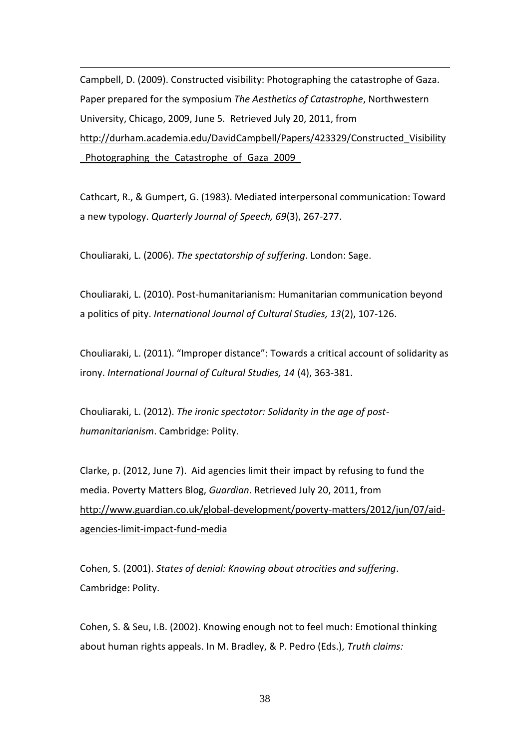Campbell, D. (2009). Constructed visibility: Photographing the catastrophe of Gaza. Paper prepared for the symposium *The Aesthetics of Catastrophe*, Northwestern University, Chicago, 2009, June 5. Retrieved July 20, 2011, from [http://durham.academia.edu/DavidCampbell/Papers/423329/Constructed\\_Visibility](http://durham.academia.edu/DavidCampbell/Papers/423329/Constructed_Visibility_Photographing_the_Catastrophe_of_Gaza_2009_) Photographing the Catastrophe of Gaza 2009

Cathcart, R., & Gumpert, G. (1983). Mediated interpersonal communication: Toward a new typology. *Quarterly Journal of Speech, 69*(3), 267-277.

Chouliaraki, L. (2006). *The spectatorship of suffering*. London: Sage.

1

Chouliaraki, L. (2010). Post-humanitarianism: Humanitarian communication beyond a politics of pity. *International Journal of Cultural Studies, 13*(2), 107-126.

Chouliaraki, L. (2011). "Improper distance": Towards a critical account of solidarity as irony. *International Journal of Cultural Studies, 14* (4), 363-381.

Chouliaraki, L. (2012). *The ironic spectator: Solidarity in the age of posthumanitarianism*. Cambridge: Polity.

Clarke, p. (2012, June 7). Aid agencies limit their impact by refusing to fund the media. Poverty Matters Blog, *Guardian*. Retrieved July 20, 2011, from [http://www.guardian.co.uk/global-development/poverty-matters/2012/jun/07/aid](http://www.guardian.co.uk/global-development/poverty-matters/2012/jun/07/aid-agencies-limit-impact-fund-media)[agencies-limit-impact-fund-media](http://www.guardian.co.uk/global-development/poverty-matters/2012/jun/07/aid-agencies-limit-impact-fund-media)

Cohen, S. (2001). *States of denial: Knowing about atrocities and suffering*. Cambridge: Polity.

Cohen, S. & Seu, I.B. (2002). Knowing enough not to feel much: Emotional thinking about human rights appeals. In M. Bradley, & P. Pedro (Eds.), *Truth claims:*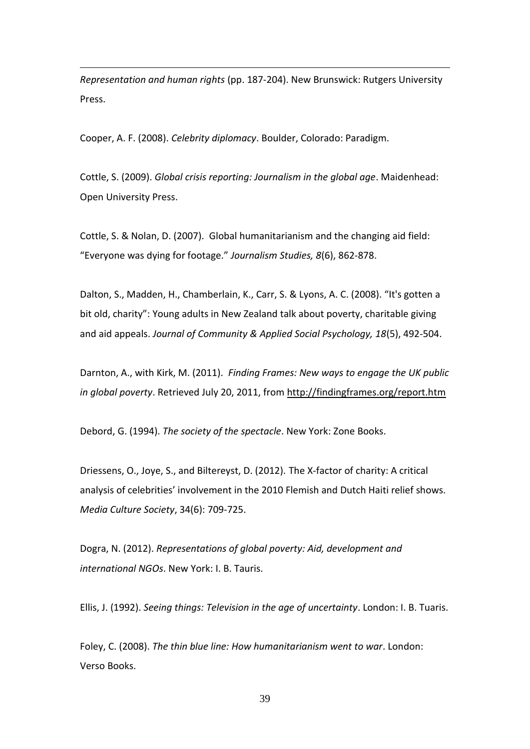*Representation and human rights* (pp. 187-204). New Brunswick: Rutgers University Press.

Cooper, A. F. (2008). *Celebrity diplomacy*. Boulder, Colorado: Paradigm.

1

Cottle, S. (2009). *Global crisis reporting: Journalism in the global age*. Maidenhead: Open University Press.

Cottle, S. & Nolan, D. (2007). Global humanitarianism and the changing aid field: "Everyone was dying for footage." *Journalism Studies, 8*(6), 862-878.

Dalton, S., Madden, H., Chamberlain, K., Carr, S. & Lyons, A. C. (2008). "It's gotten a bit old, charity": Young adults in New Zealand talk about poverty, charitable giving and aid appeals. *Journal of Community & Applied Social Psychology, 18*(5), 492-504.

Darnton, A., with Kirk, M. (2011). *Finding Frames: New ways to engage the UK public in global poverty*. Retrieved July 20, 2011, from<http://findingframes.org/report.htm>

Debord, G. (1994). *The society of the spectacle*. New York: Zone Books.

Driessens, O., Joye, S., and Biltereyst, D. (2012). The X-factor of charity: A critical analysis of celebrities' involvement in the 2010 Flemish and Dutch Haiti relief shows. *Media Culture Society*, 34(6): 709-725.

Dogra, N. (2012). *Representations of global poverty: Aid, development and international NGOs*. New York: I. B. Tauris.

Ellis, J. (1992). *Seeing things: Television in the age of uncertainty*. London: I. B. Tuaris.

Foley, C. (2008). *The thin blue line: How humanitarianism went to war*. London: Verso Books.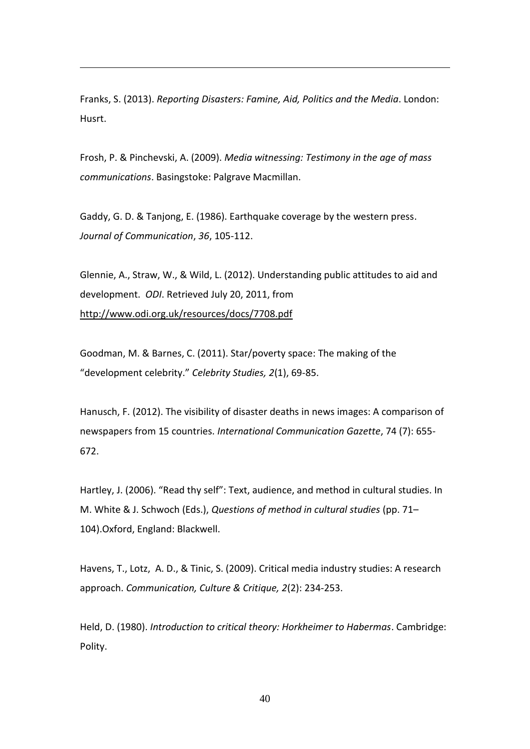Franks, S. (2013). *Reporting Disasters: Famine, Aid, Politics and the Media*. London: Husrt.

1

Frosh, P. & Pinchevski, A. (2009). *Media witnessing: Testimony in the age of mass communications*. Basingstoke: Palgrave Macmillan.

Gaddy, G. D. & Tanjong, E. (1986). Earthquake coverage by the western press. *Journal of Communication*, *36*, 105-112.

Glennie, A., Straw, W., & Wild, L. (2012). Understanding public attitudes to aid and development. *ODI*. Retrieved July 20, 2011, from <http://www.odi.org.uk/resources/docs/7708.pdf>

Goodman, M. & Barnes, C. (2011). Star/poverty space: The making of the "development celebrity." *Celebrity Studies, 2*(1), 69-85.

Hanusch, F. (2012). The visibility of disaster deaths in news images: A comparison of newspapers from 15 countries. *International Communication Gazette*, 74 (7): 655- 672.

Hartley, J. (2006). "Read thy self": Text, audience, and method in cultural studies. In M. White & J. Schwoch (Eds.), *Questions of method in cultural studies* (pp. 71– 104).Oxford, England: Blackwell.

Havens, T., Lotz, A. D., & Tinic, S. (2009). Critical media industry studies: A research approach. *Communication, Culture & Critique, 2*(2): 234-253.

Held, D. (1980). *Introduction to critical theory: Horkheimer to Habermas*. Cambridge: Polity.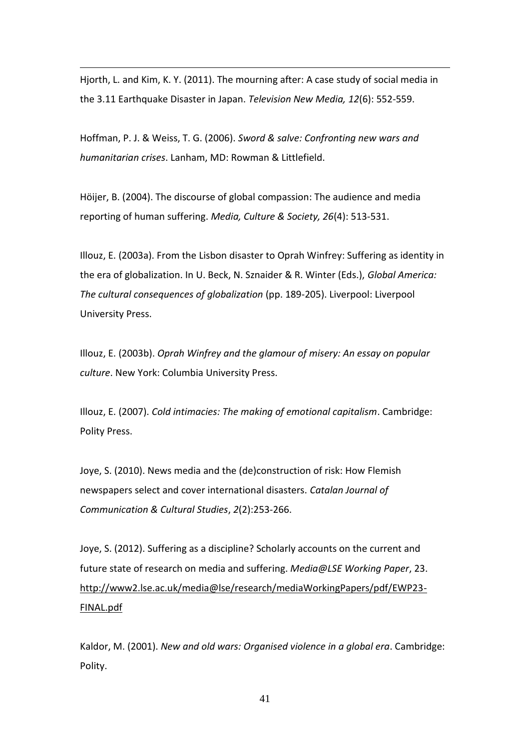Hjorth, L. and Kim, K. Y. (2011). The mourning after: A case study of social media in the 3.11 Earthquake Disaster in Japan. *Television New Media, 12*(6): 552-559.

1

Hoffman, P. J. & Weiss, T. G. (2006). *Sword & salve: Confronting new wars and humanitarian crises*. Lanham, MD: Rowman & Littlefield.

Höijer, B. (2004). The discourse of global compassion: The audience and media reporting of human suffering. *Media, Culture & Society, 26*(4): 513-531.

Illouz, E. (2003a). From the Lisbon disaster to Oprah Winfrey: Suffering as identity in the era of globalization. In U. Beck, N. Sznaider & R. Winter (Eds.), *Global America: The cultural consequences of globalization* (pp. 189-205). Liverpool: Liverpool University Press.

Illouz, E. (2003b). *Oprah Winfrey and the glamour of misery: An essay on popular culture*. New York: Columbia University Press.

Illouz, E. (2007). *Cold intimacies: The making of emotional capitalism*. Cambridge: Polity Press.

Joye, S. (2010). News media and the (de)construction of risk: How Flemish newspapers select and cover international disasters. *Catalan Journal of Communication & Cultural Studies*, *2*(2):253-266.

Joye, S. (2012). Suffering as a discipline? Scholarly accounts on the current and future state of research on media and suffering. *Media@LSE Working Paper*, 23. [http://www2.lse.ac.uk/media@lse/research/mediaWorkingPapers/pdf/EWP23-](http://www2.lse.ac.uk/media@lse/research/mediaWorkingPapers/pdf/EWP23-FINAL.pdf) [FINAL.pdf](http://www2.lse.ac.uk/media@lse/research/mediaWorkingPapers/pdf/EWP23-FINAL.pdf)

Kaldor, M. (2001). *New and old wars: Organised violence in a global era*. Cambridge: Polity.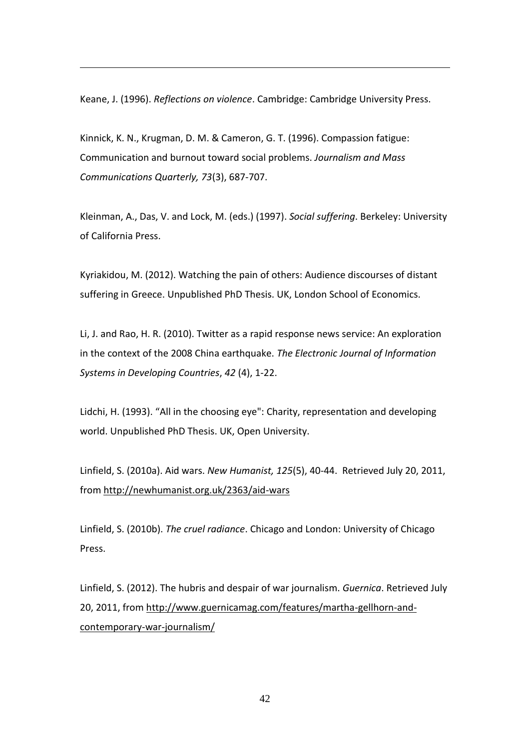Keane, J. (1996). *Reflections on violence*. Cambridge: Cambridge University Press.

1

Kinnick, K. N., Krugman, D. M. & Cameron, G. T. (1996). Compassion fatigue: Communication and burnout toward social problems. *Journalism and Mass Communications Quarterly, 73*(3), 687-707.

Kleinman, A., Das, V. and Lock, M. (eds.) (1997). *Social suffering*. Berkeley: University of California Press.

Kyriakidou, M. (2012). Watching the pain of others: Audience discourses of distant suffering in Greece. Unpublished PhD Thesis. UK, London School of Economics.

Li, J. and Rao, H. R. (2010). Twitter as a rapid response news service: An exploration in the context of the 2008 China earthquake. *The Electronic Journal of Information Systems in Developing Countries*, *42* (4), 1-22.

Lidchi, H. (1993). "All in the choosing eye": Charity, representation and developing world. Unpublished PhD Thesis. UK, Open University.

Linfield, S. (2010a). Aid wars. *New Humanist, 125*(5), 40-44. Retrieved July 20, 2011, from<http://newhumanist.org.uk/2363/aid-wars>

Linfield, S. (2010b). *The cruel radiance*. Chicago and London: University of Chicago Press.

Linfield, S. (2012). The hubris and despair of war journalism. *Guernica*. Retrieved July 20, 2011, from [http://www.guernicamag.com/features/martha-gellhorn-and](http://www.guernicamag.com/features/martha-gellhorn-and-contemporary-war-journalism/)[contemporary-war-journalism/](http://www.guernicamag.com/features/martha-gellhorn-and-contemporary-war-journalism/)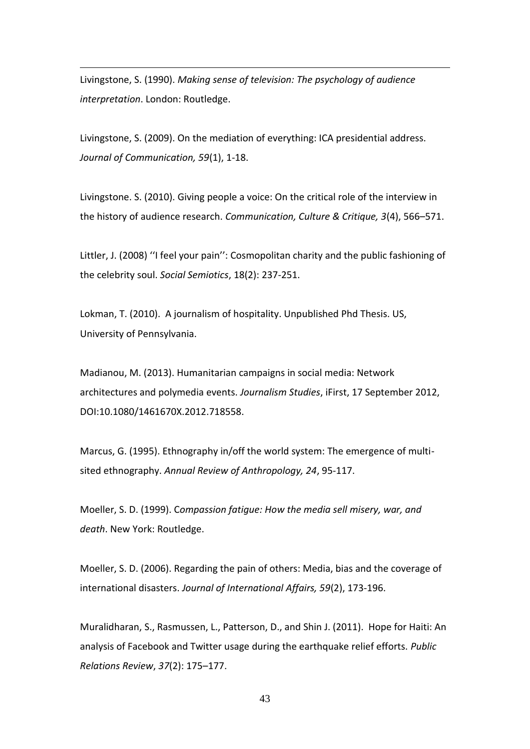Livingstone, S. (1990). *Making sense of television: The psychology of audience interpretation*. London: Routledge.

1

Livingstone, S. (2009). On the mediation of everything: ICA presidential address. *Journal of Communication, 59*(1), 1-18.

Livingstone. S. (2010). Giving people a voice: On the critical role of the interview in the history of audience research. *Communication, Culture & Critique, 3*(4), 566–571.

Littler, J. (2008) ''I feel your pain'': Cosmopolitan charity and the public fashioning of the celebrity soul. *Social Semiotics*, 18(2): 237-251.

Lokman, T. (2010). A journalism of hospitality. Unpublished Phd Thesis. US, University of Pennsylvania.

Madianou, M. (2013). Humanitarian campaigns in social media: Network architectures and polymedia events. *Journalism Studies*, iFirst, 17 September 2012, DOI:10.1080/1461670X.2012.718558.

Marcus, G. (1995). Ethnography in/off the world system: The emergence of multisited ethnography. *Annual Review of Anthropology, 24*, 95-117.

Moeller, S. D. (1999). C*ompassion fatigue: How the media sell misery, war, and death*. New York: Routledge.

Moeller, S. D. (2006). Regarding the pain of others: Media, bias and the coverage of international disasters. *Journal of International Affairs, 59*(2), 173-196.

Muralidharan, S., Rasmussen, L., Patterson, D., and Shin J. (2011). Hope for Haiti: An analysis of Facebook and Twitter usage during the earthquake relief efforts. *Public Relations Review*, *37*(2): 175–177.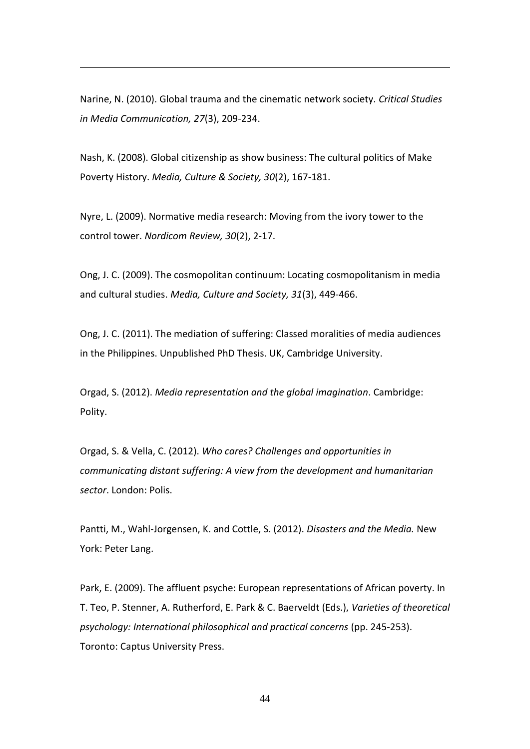Narine, N. (2010). Global trauma and the cinematic network society. *Critical Studies in Media Communication, 27*(3), 209-234.

1

Nash, K. (2008). Global citizenship as show business: The cultural politics of Make Poverty History. *Media, Culture & Society, 30*(2), 167-181.

Nyre, L. (2009). Normative media research: Moving from the ivory tower to the control tower. *Nordicom Review, 30*(2), 2-17.

Ong, J. C. (2009). The cosmopolitan continuum: Locating cosmopolitanism in media and cultural studies. *Media, Culture and Society, 31*(3), 449-466.

Ong, J. C. (2011). The mediation of suffering: Classed moralities of media audiences in the Philippines. Unpublished PhD Thesis. UK, Cambridge University.

Orgad, S. (2012). *Media representation and the global imagination*. Cambridge: Polity.

Orgad, S. & Vella, C. (2012). *Who cares? Challenges and opportunities in communicating distant suffering: A view from the development and humanitarian sector*. London: Polis.

Pantti, M., Wahl-Jorgensen, K. and Cottle, S. (2012). *Disasters and the Media.* New York: Peter Lang.

Park, E. (2009). The affluent psyche: European representations of African poverty. In T. Teo, P. Stenner, A. Rutherford, E. Park & C. Baerveldt (Eds.), *Varieties of theoretical psychology: International philosophical and practical concerns* (pp. 245-253). Toronto: Captus University Press.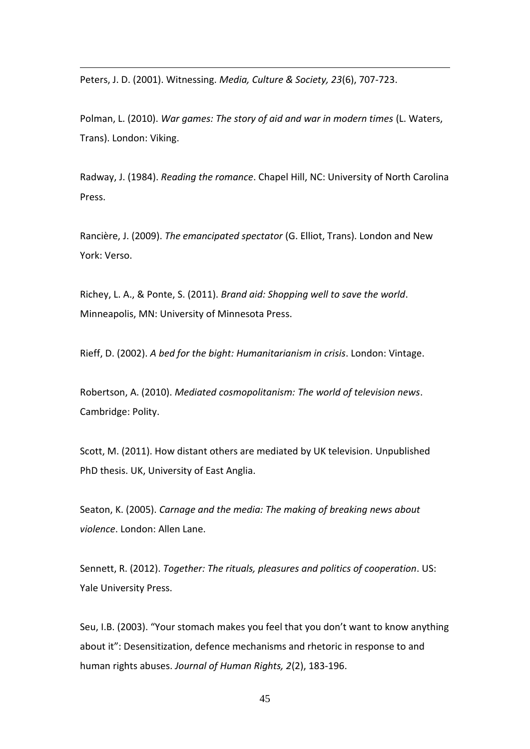Peters, J. D. (2001). Witnessing. *Media, Culture & Society, 23*(6), 707-723.

1

Polman, L. (2010). *War games: The story of aid and war in modern times* (L. Waters, Trans). London: Viking.

Radway, J. (1984). *Reading the romance*. Chapel Hill, NC: University of North Carolina Press.

Rancière, J. (2009). *The emancipated spectator* (G. Elliot, Trans). London and New York: Verso.

Richey, L. A., & Ponte, S. (2011). *Brand aid: Shopping well to save the world*. Minneapolis, MN: University of Minnesota Press.

Rieff, D. (2002). *A bed for the bight: Humanitarianism in crisis*. London: Vintage.

Robertson, A. (2010). *Mediated cosmopolitanism: The world of television news*. Cambridge: Polity.

Scott, M. (2011). How distant others are mediated by UK television. Unpublished PhD thesis. UK, University of East Anglia.

Seaton, K. (2005). *Carnage and the media: The making of breaking news about violence*. London: Allen Lane.

Sennett, R. (2012). *Together: The rituals, pleasures and politics of cooperation*. US: Yale University Press.

Seu, I.B. (2003). "Your stomach makes you feel that you don't want to know anything about it": Desensitization, defence mechanisms and rhetoric in response to and human rights abuses. *Journal of Human Rights, 2*(2), 183-196.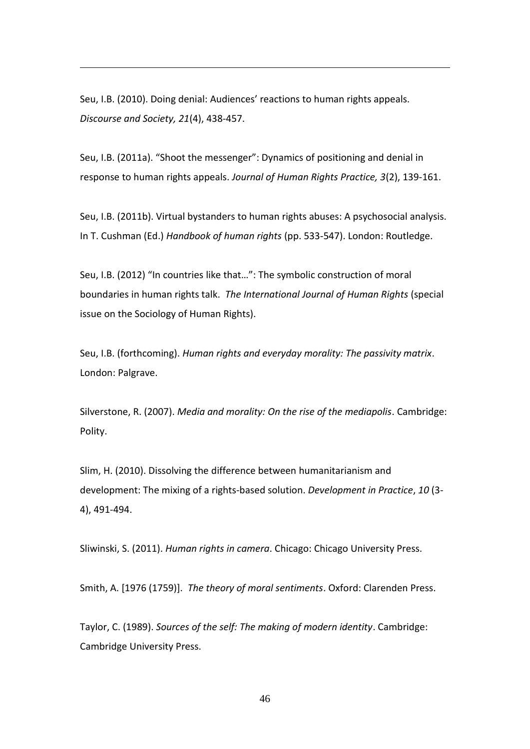Seu, I.B. (2010). Doing denial: Audiences' reactions to human rights appeals. *Discourse and Society, 21*(4), 438-457.

1

Seu, I.B. (2011a). "Shoot the messenger": Dynamics of positioning and denial in response to human rights appeals. *Journal of Human Rights Practice, 3*(2), 139-161.

Seu, I.B. (2011b). Virtual bystanders to human rights abuses: A psychosocial analysis. In T. Cushman (Ed.) *Handbook of human rights* (pp. 533-547). London: Routledge.

Seu, I.B. (2012) "In countries like that…": The symbolic construction of moral boundaries in human rights talk. *The International Journal of Human Rights* (special issue on the Sociology of Human Rights).

Seu, I.B. (forthcoming). *Human rights and everyday morality: The passivity matrix*. London: Palgrave.

Silverstone, R. (2007). *Media and morality: On the rise of the mediapolis*. Cambridge: Polity.

Slim, H. (2010). Dissolving the difference between humanitarianism and development: The mixing of a rights-based solution. *Development in Practice*, *10* (3- 4), 491-494.

Sliwinski, S. (2011). *Human rights in camera*. Chicago: Chicago University Press.

Smith, A. [1976 (1759)]. *The theory of moral sentiments*. Oxford: Clarenden Press.

Taylor, C. (1989). *Sources of the self: The making of modern identity*. Cambridge: Cambridge University Press.